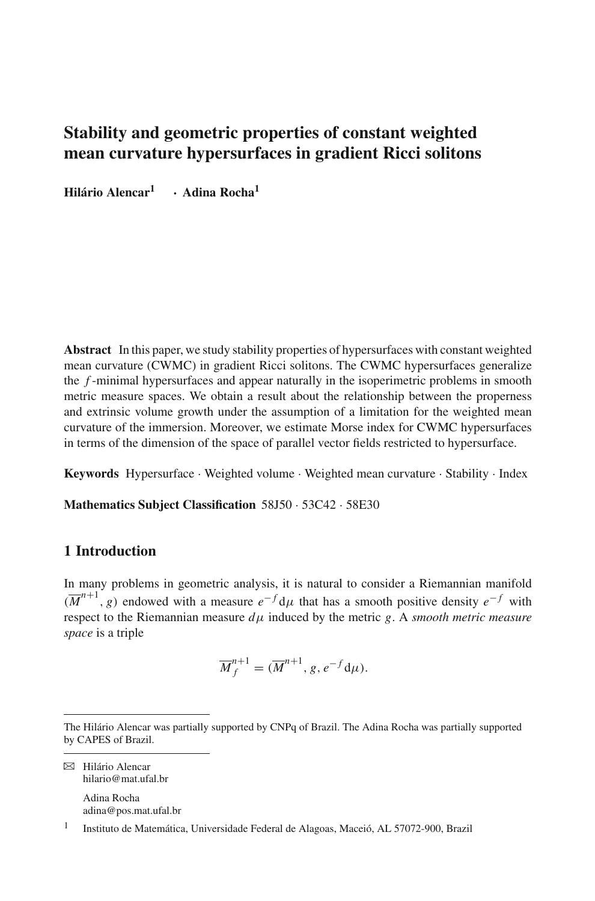# **Stability and geometric properties of constant weighted mean curvature hypersurfaces in gradient Ricci solitons**

**Hilário Alencar[1](http://orcid.org/0000-0002-1315-8048) · Adina Rocha1**

**Abstract** In this paper, we study stability properties of hypersurfaces with constant weighted mean curvature (CWMC) in gradient Ricci solitons. The CWMC hypersurfaces generalize the *f* -minimal hypersurfaces and appear naturally in the isoperimetric problems in smooth metric measure spaces. We obtain a result about the relationship between the properness and extrinsic volume growth under the assumption of a limitation for the weighted mean curvature of the immersion. Moreover, we estimate Morse index for CWMC hypersurfaces in terms of the dimension of the space of parallel vector fields restricted to hypersurface.

**Keywords** Hypersurface · Weighted volume · Weighted mean curvature · Stability · Index

**Mathematics Subject Classification** 58J50 · 53C42 · 58E30

### **1 Introduction**

In many problems in geometric analysis, it is natural to consider a Riemannian manifold  $(\overline{M}^{n+1}, g)$  endowed with a measure  $e^{-f} d\mu$  that has a smooth positive density  $e^{-f}$  with respect to the Riemannian measure  $d\mu$  induced by the metric *g*. A *smooth metric measure space* is a triple

$$
\overline{M}_f^{n+1} = (\overline{M}^{n+1}, g, e^{-f} d\mu).
$$

B Hilário Alencar hilario@mat.ufal.br Adina Rocha

adina@pos.mat.ufal.br

The Hilário Alencar was partially supported by CNPq of Brazil. The Adina Rocha was partially supported by CAPES of Brazil.

<sup>1</sup> Instituto de Matemática, Universidade Federal de Alagoas, Maceió, AL 57072-900, Brazil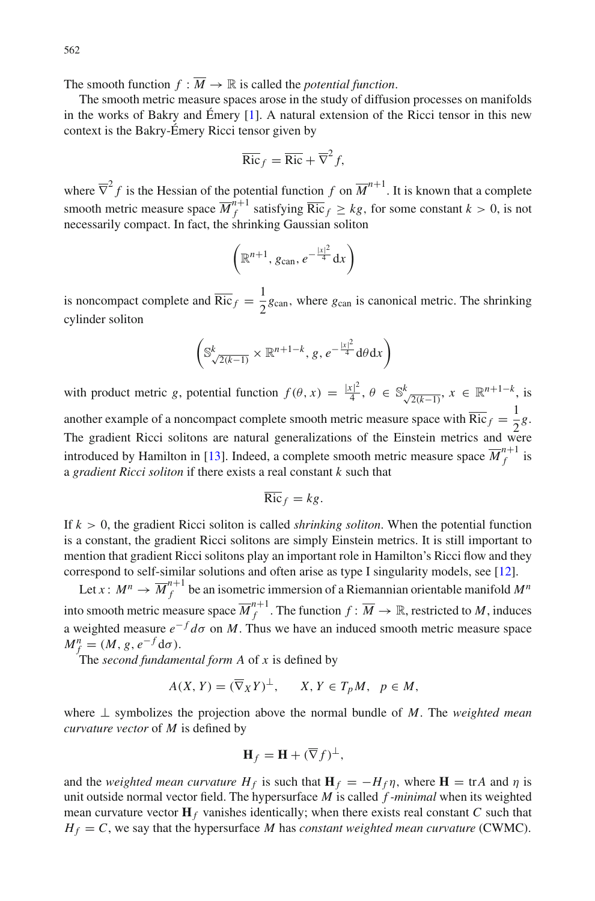The smooth function  $f : \overline{M} \to \mathbb{R}$  is called the *potential function*.

The smooth metric measure spaces arose in the study of diffusion processes on manifolds in the works of Bakry and Émery [\[1](#page-20-0)]. A natural extension of the Ricci tensor in this new context is the Bakry-Émery Ricci tensor given by

$$
\overline{\text{Ric}}_f = \overline{\text{Ric}} + \overline{\nabla}^2 f,
$$

where  $\overline{\nabla}^2 f$  is the Hessian of the potential function *f* on  $\overline{M}^{n+1}$ . It is known that a complete smooth metric measure space  $\overline{M}_f^{n+1}$  satisfying  $\overline{Ric}_f \geq kg$ , for some constant  $k > 0$ , is not necessarily compact. In fact, the shrinking Gaussian soliton

$$
\left(\mathbb{R}^{n+1}, g_{\text{can}}, e^{-\frac{|x|^2}{4}} \text{d}x\right)
$$

is noncompact complete and  $\overline{\text{Ric}}_f = \frac{1}{2}g_{\text{can}}$ , where  $g_{\text{can}}$  is canonical metric. The shrinking cylinder soliton

$$
\left(\mathbb{S}_{\sqrt{2(k-1)}}^{k} \times \mathbb{R}^{n+1-k}, g, e^{-\frac{|x|^2}{4}} d\theta dx\right)
$$

with product metric *g*, potential function  $f(\theta, x) = \frac{|x|^2}{4}, \theta \in \mathbb{S}_{\sqrt{2(k-1)}}^k$ ,  $x \in \mathbb{R}^{n+1-k}$ , is another example of a noncompact complete smooth metric measure space with  $\overline{\text{Ric}}_f = \frac{1}{2}g$ . The gradient Ricci solitons are natural generalizations of the Einstein metrics and were introduced by Hamilton in [\[13](#page-20-1)]. Indeed, a complete smooth metric measure space  $\overline{M}_{f}^{n+1}$  is a *gradient Ricci soliton* if there exists a real constant *k* such that

$$
\overline{\text{Ric}}_f = kg.
$$

If *k* > 0, the gradient Ricci soliton is called *shrinking soliton*. When the potential function is a constant, the gradient Ricci solitons are simply Einstein metrics. It is still important to mention that gradient Ricci solitons play an important role in Hamilton's Ricci flow and they correspond to self-similar solutions and often arise as type I singularity models, see [\[12\]](#page-20-2).

Let  $x: M^n \to \overline{M}_f^{n+1}$  be an isometric immersion of a Riemannian orientable manifold  $M^n$ into smooth metric measure space  $\overline{M}_{f}^{n+1}$ . The function  $f: \overline{M} \to \mathbb{R}$ , restricted to *M*, induces a weighted measure  $e^{-f} d\sigma$  on *M*. Thus we have an induced smooth metric measure space  $M_f^n = (M, g, e^{-f} d\sigma).$ 

The *second fundamental form A* of *x* is defined by

$$
A(X, Y) = (\overline{\nabla}_X Y)^{\perp}, \qquad X, Y \in T_p M, \quad p \in M,
$$

where ⊥ symbolizes the projection above the normal bundle of *M*. The *weighted mean curvature vector* of *M* is defined by

$$
\mathbf{H}_f = \mathbf{H} + (\overline{\nabla}f)^{\perp},
$$

and the *weighted mean curvature*  $H_f$  is such that  $\mathbf{H}_f = -H_f \eta$ , where  $\mathbf{H} = \text{tr}A$  and  $\eta$  is unit outside normal vector field. The hypersurface *M* is called *f -minimal* when its weighted mean curvature vector  $\mathbf{H}_f$  vanishes identically; when there exists real constant *C* such that  $H_f = C$ , we say that the hypersurface *M* has *constant weighted mean curvature* (CWMC).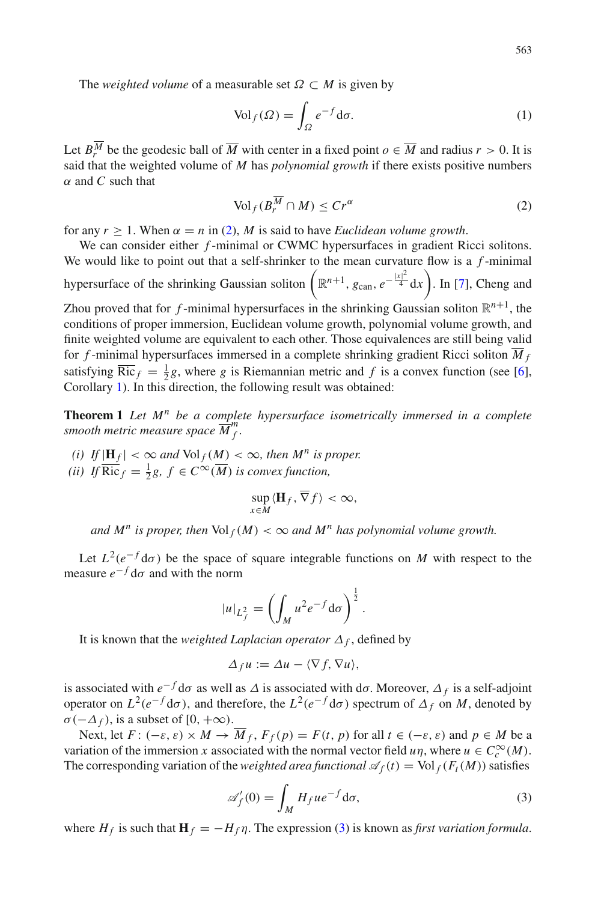The *weighted volume* of a measurable set  $\Omega \subset M$  is given by

$$
\text{Vol}_f(\Omega) = \int_{\Omega} e^{-f} \text{d}\sigma. \tag{1}
$$

Let  $B_r^M$  be the geodesic ball of  $\overline{M}$  with center in a fixed point  $o \in \overline{M}$  and radius  $r > 0$ . It is said that the weighted volume of *M* has *polynomial growth* if there exists positive numbers α and *C* such that

<span id="page-2-0"></span>
$$
\text{Vol}_f(B_r^{\overline{M}} \cap M) \le Cr^{\alpha} \tag{2}
$$

for any  $r > 1$ . When  $\alpha = n$  in [\(2\)](#page-2-0), *M* is said to have *Euclidean volume growth*.

We can consider either *f*-minimal or CWMC hypersurfaces in gradient Ricci solitons. We would like to point out that a self-shrinker to the mean curvature flow is a *f* -minimal hypersurface of the shrinking Gaussian soliton  $(\mathbb{R}^{n+1}, g_{\text{can}}, e^{-\frac{|x|^2}{4}} dx)$ . In [\[7](#page-20-3)], Cheng and Zhou proved that for *f*-minimal hypersurfaces in the shrinking Gaussian soliton  $\mathbb{R}^{n+1}$ , the conditions of proper immersion, Euclidean volume growth, polynomial volume growth, and finite weighted volume are equivalent to each other. Those equivalences are still being valid for *f*-minimal hypersurfaces immersed in a complete shrinking gradient Ricci soliton  $\overline{M}_f$ satisfying  $\overline{\text{Ric}}_f = \frac{1}{2}g$ , where *g* is Riemannian metric and *f* is a convex function (see [\[6\]](#page-20-4), Corollary [1\)](#page-4-0). In this direction, the following result was obtained:

<span id="page-2-2"></span>**Theorem 1** *Let M<sup>n</sup> be a complete hypersurface isometrically immersed in a complete smooth metric measure space*  $\overline{M}^m_f$ .

*(i)* If  $|\mathbf{H}_f| < \infty$  and  $\text{Vol}_f(M) < \infty$ , then  $M^n$  is proper. (*ii*) If  $\overline{\text{Ric}}_f = \frac{1}{2}g$ ,  $f \in C^\infty(\overline{M})$  *is convex function*,

$$
\sup_{x\in M}\langle \mathbf{H}_f,\overline{\nabla}f\rangle<\infty,
$$

*and*  $M^n$  *is proper, then*  $Vol_f(M) < \infty$  *and*  $M^n$  *has polynomial volume growth.* 

Let  $L^2(e^{-f}d\sigma)$  be the space of square integrable functions on *M* with respect to the measure  $e^{-f}$  d $\sigma$  and with the norm

$$
|u|_{L_f^2} = \left(\int_M u^2 e^{-f} d\sigma\right)^{\frac{1}{2}}.
$$

It is known that the *weighted Laplacian operator*  $\Delta_f$ , defined by

$$
\Delta_f u := \Delta u - \langle \nabla f, \nabla u \rangle,
$$

is associated with  $e^{-f}$  d $\sigma$  as well as  $\Delta$  is associated with d $\sigma$ . Moreover,  $\Delta_f$  is a self-adjoint operator on  $L^2(e^{-f}d\sigma)$ , and therefore, the  $L^2(e^{-f}d\sigma)$  spectrum of  $\Delta_f$  on *M*, denoted by  $\sigma(-\Delta_f)$ , is a subset of [0, + $\infty$ ).

Next, let  $F: (-\varepsilon, \varepsilon) \times M \to \overline{M}_f$ ,  $F_f(p) = F(t, p)$  for all  $t \in (-\varepsilon, \varepsilon)$  and  $p \in M$  be a variation of the immersion *x* associated with the normal vector field *u* $\eta$ , where  $u \in C_c^{\infty}(M)$ . The corresponding variation of the *weighted area functional*  $\mathcal{A}_f(t) = \text{Vol}_f(F_t(M))$  satisfies

<span id="page-2-1"></span>
$$
\mathscr{A}'_f(0) = \int_M H_f u e^{-f} d\sigma,\tag{3}
$$

where  $H_f$  is such that  $\mathbf{H}_f = -H_f \eta$ . The expression [\(3\)](#page-2-1) is known as *first variation formula*.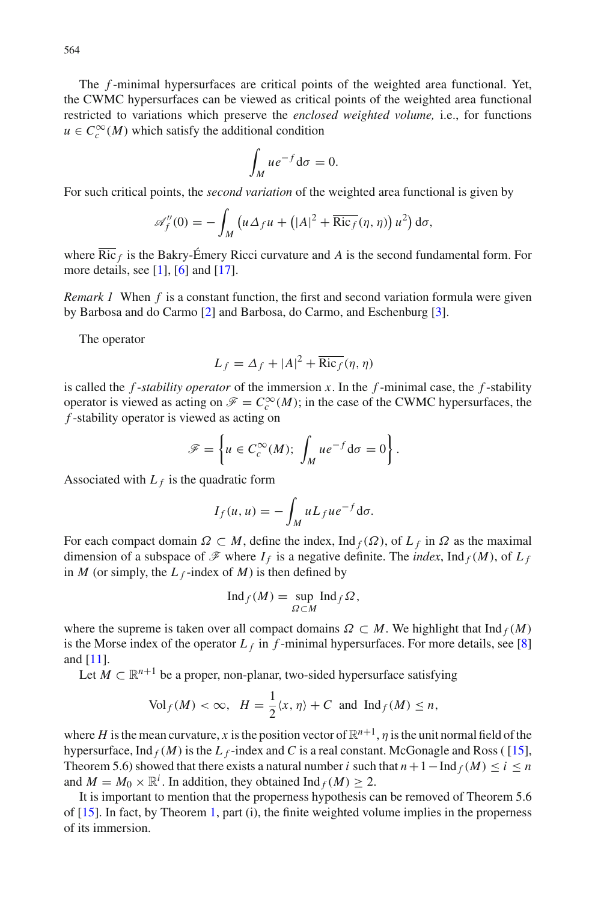The *f* -minimal hypersurfaces are critical points of the weighted area functional. Yet, the CWMC hypersurfaces can be viewed as critical points of the weighted area functional restricted to variations which preserve the *enclosed weighted volume,* i.e., for functions  $u \in C_c^{\infty}(M)$  which satisfy the additional condition

$$
\int_M u e^{-f} \mathrm{d}\sigma = 0.
$$

For such critical points, the *second variation* of the weighted area functional is given by

$$
\mathscr{A}_{f}''(0) = -\int_{M} \left( u \Delta_{f} u + \left( |A|^{2} + \overline{\mathrm{Ric}_{f}}(\eta, \eta) \right) u^{2} \right) d\sigma,
$$

where  $\overline{\text{Ric}}_f$  is the Bakry-Émery Ricci curvature and *A* is the second fundamental form. For more details, see  $[1]$ ,  $[6]$  and  $[17]$ .

*Remark 1* When *f* is a constant function, the first and second variation formula were given by Barbosa and do Carmo [\[2](#page-20-6)] and Barbosa, do Carmo, and Eschenburg [\[3\]](#page-20-7).

The operator

$$
L_f = \Delta_f + |A|^2 + \overline{\text{Ric}_f}(\eta, \eta)
$$

is called the  $f$ -*stability operator* of the immersion  $x$ . In the  $f$ -minimal case, the  $f$ -stability operator is viewed as acting on  $\mathcal{F} = C_c^{\infty}(M)$ ; in the case of the CWMC hypersurfaces, the *f* -stability operator is viewed as acting on

$$
\mathscr{F} = \left\{ u \in C_c^{\infty}(M); \int_M u e^{-f} d\sigma = 0 \right\}.
$$

Associated with  $L_f$  is the quadratic form

$$
I_f(u, u) = -\int_M u L_f u e^{-f} d\sigma.
$$

For each compact domain  $\Omega \subset M$ , define the index, Ind  $f(\Omega)$ , of  $L_f$  in  $\Omega$  as the maximal dimension of a subspace of  $\mathscr F$  where  $I_f$  is a negative definite. The *index*, Ind  $_f(M)$ , of  $L_f$ in *M* (or simply, the  $L_f$ -index of *M*) is then defined by

$$
\mathrm{Ind}_f(M) = \sup_{\Omega \subset M} \mathrm{Ind}_f \Omega,
$$

where the supreme is taken over all compact domains  $\Omega \subset M$ . We highlight that  $\text{Ind}_f(M)$ is the Morse index of the operator  $L_f$  in  $f$ -minimal hypersurfaces. For more details, see [\[8\]](#page-20-8) and [\[11\]](#page-20-9).

Let  $M \subset \mathbb{R}^{n+1}$  be a proper, non-planar, two-sided hypersurface satisfying

$$
\text{Vol}_f(M) < \infty, \ H = \frac{1}{2} \langle x, \eta \rangle + C \ \text{and} \ \text{Ind}_f(M) \le n,
$$

where *H* is the mean curvature, *x* is the position vector of  $\mathbb{R}^{n+1}$ , *n* is the unit normal field of the hypersurface, Ind  $_f(M)$  is the  $L_f$ -index and C is a real constant. McGonagle and Ross ([\[15\]](#page-20-10), Theorem 5.6) showed that there exists a natural number *i* such that  $n + 1 - \text{Ind}_f(M) \le i \le n$ and  $M = M_0 \times \mathbb{R}^i$ . In addition, they obtained  $\text{Ind}_f(M) \geq 2$ .

It is important to mention that the properness hypothesis can be removed of Theorem 5.6 of [\[15](#page-20-10)]. In fact, by Theorem [1,](#page-2-2) part (i), the finite weighted volume implies in the properness of its immersion.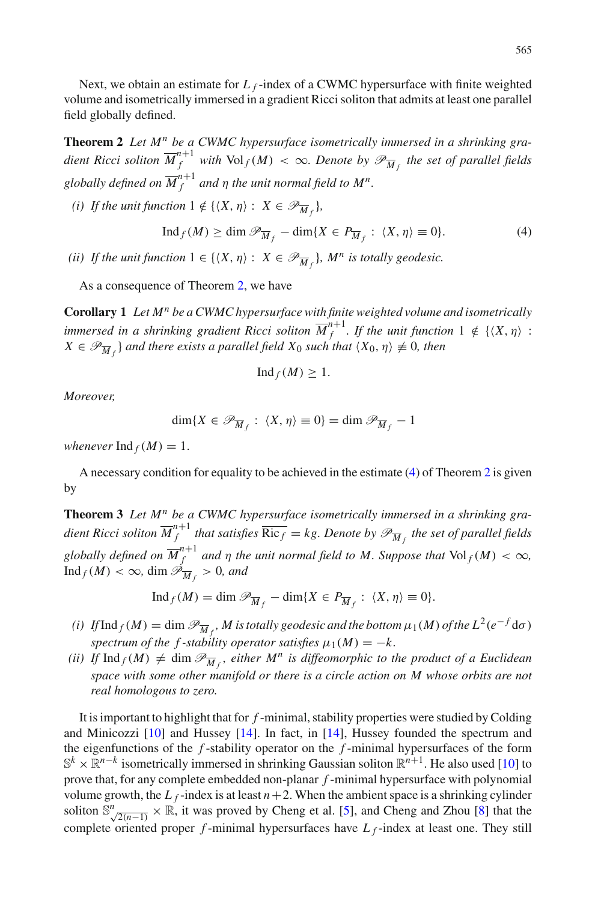Next, we obtain an estimate for  $L_f$ -index of a CWMC hypersurface with finite weighted volume and isometrically immersed in a gradient Ricci soliton that admits at least one parallel field globally defined.

<span id="page-4-1"></span>**Theorem 2** *Let M<sup>n</sup> be a CWMC hypersurface isometrically immersed in a shrinking gradient Ricci soliton*  $\overline{M}_{f}^{n+1}$  *with*  $\text{Vol}_f(M) < \infty$ *. Denote by*  $\mathscr{P}_{\overline{M}_{f}}$  *the set of parallel fields* globally defined on  $\overline{M}_{f}^{n+1}$  and  $\eta$  the unit normal field to  $M^{n}.$ 

*(i)* If the unit function  $1 \notin \{ \langle X, \eta \rangle : X \in \mathscr{P}_{\overline{M}_f} \}$ ,

<span id="page-4-2"></span>
$$
\operatorname{Ind}_{f}(M) \ge \dim \mathcal{P}_{\overline{M}_{f}} - \dim \{ X \in P_{\overline{M}_{f}} : \langle X, \eta \rangle \equiv 0 \}.
$$
 (4)

*(ii)* If the unit function  $1 \in \{ \langle X, \eta \rangle : X \in \mathcal{P}_{\overline{M}_f} \}$ ,  $M^n$  is totally geodesic.

<span id="page-4-0"></span>As a consequence of Theorem [2,](#page-4-1) we have

**Corollary 1** *Let M<sup>n</sup> be a CWMC hypersurface with finite weighted volume and isometrically immersed in a shrinking gradient Ricci soliton*  $\overline{M}_{f}^{n+1}$ *. If the unit function*  $1 \notin \{ \langle X, \eta \rangle :$  $X \in \mathscr{P}_{\overline{M}_f}$  *and there exists a parallel field*  $X_0$  *such that*  $\langle X_0, \eta \rangle \not\equiv 0$ *, then* 

$$
\mathrm{Ind}_f(M)\geq 1.
$$

*Moreover,*

$$
\dim\{X\in\mathscr{P}_{\overline{M}_f}: \langle X,\eta\rangle\equiv 0\}=\dim\mathscr{P}_{\overline{M}_f}-1
$$

*whenever*  $\text{Ind}_f(M) = 1$ .

<span id="page-4-3"></span>A necessary condition for equality to be achieved in the estimate [\(4\)](#page-4-2) of Theorem [2](#page-4-1) is given by

**Theorem 3** *Let M<sup>n</sup> be a CWMC hypersurface isometrically immersed in a shrinking gra*dient Ricci soliton  $\overline{M}_{f}^{n+1}$  that satisfies  $\overline{\mathrm{Ric}_f} = kg.$  Denote by  $\mathscr{P}_{\overline{M}_{f}}$  the set of parallel fields *globally defined on*  $\overline{M}_{f}^{n+1}$  *and*  $\eta$  *the unit normal field to M. Suppose that*  $\text{Vol}_f(M) < \infty$ *,*  $\mathop{\mathrm{Ind}}\nolimits_f(M) < \infty$ ,  $\dim \mathscr{P}_{\overline{M}_f} > 0$ , and

$$
\operatorname{Ind}_f(M) = \dim \mathscr{P}_{\overline{M}_f} - \dim\{X \in P_{\overline{M}_f} : \langle X, \eta \rangle \equiv 0\}.
$$

- *(i)* If  $\text{Ind}_f(M) = \dim \mathscr{P}_{\overline{M}_f}$ , M is totally geodesic and the bottom  $\mu_1(M)$  of the  $L^2(e^{-f}\text{d}\sigma)$ *spectrum of the f -stability operator satisfies*  $\mu_1(M) = -k$ .
- *(ii)* If  $\text{Ind}_f(M) \neq \text{dim } \mathcal{P}_{\overline{M}_f}$ , either  $M^n$  is diffeomorphic to the product of a Euclidean *space with some other manifold or there is a circle action on M whose orbits are not real homologous to zero.*

It is important to highlight that for *f* -minimal, stability properties were studied by Colding and Minicozzi [\[10\]](#page-20-11) and Hussey [\[14\]](#page-20-12). In fact, in [\[14\]](#page-20-12), Hussey founded the spectrum and the eigenfunctions of the *f* -stability operator on the *f* -minimal hypersurfaces of the form <sup>S</sup>*<sup>k</sup>* <sup>×</sup> <sup>R</sup>*n*−*<sup>k</sup>* isometrically immersed in shrinking Gaussian soliton <sup>R</sup>*n*+1. He also used [\[10](#page-20-11)] to prove that, for any complete embedded non-planar *f* -minimal hypersurface with polynomial volume growth, the  $L_f$ -index is at least  $n+2$ . When the ambient space is a shrinking cylinder soliton  $\mathbb{S}^n$   $\sqrt{2(n-1)}$  × R, it was proved by Cheng et al. [\[5](#page-20-13)], and Cheng and Zhou [\[8](#page-20-8)] that the complete oriented proper *f* -minimal hypersurfaces have *L <sup>f</sup>* -index at least one. They still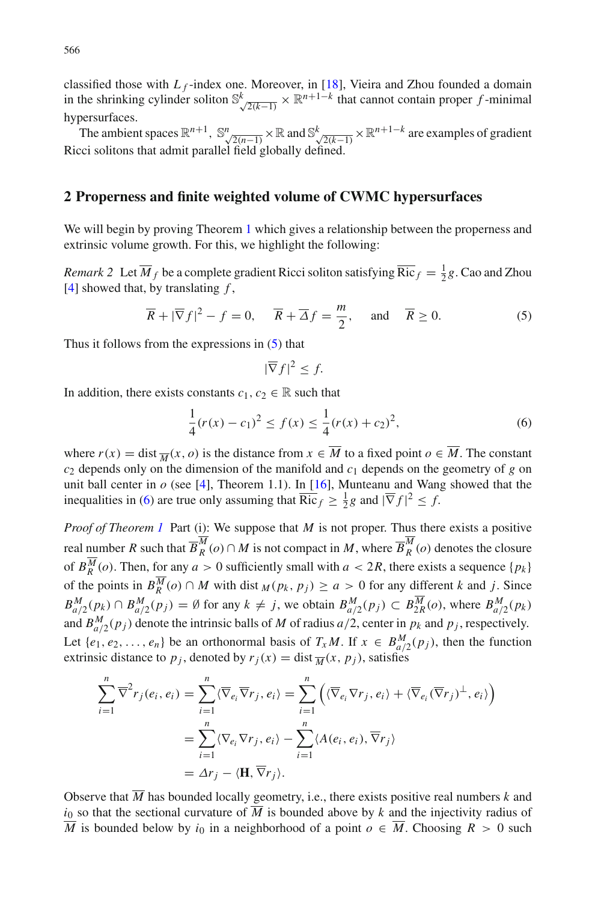classified those with  $L_f$ -index one. Moreover, in [\[18](#page-20-14)], Vieira and Zhou founded a domain in the shrinking cylinder soliton  $\mathbb{S}_{\sqrt{2(k-1)}}^k \times \mathbb{R}^{n+1-k}$  that cannot contain proper *f* -minimal hypersurfaces.

The ambient spaces  $\mathbb{R}^{n+1}$ ,  $\mathbb{S}^n$ ,  $\mathbb{R}^n \times \mathbb{R}$  and  $\mathbb{S}^k$ ,  $\mathbb{R}^{n+1-k}$  are examples of gradient Ricci solitons that admit parallel field globally defined.

#### **2 Properness and finite weighted volume of CWMC hypersurfaces**

<span id="page-5-2"></span>We will begin by proving Theorem [1](#page-2-2) which gives a relationship between the properness and extrinsic volume growth. For this, we highlight the following:

*Remark 2* Let  $\overline{M}_f$  be a complete gradient Ricci soliton satisfying  $\overline{\text{Ric}}_f = \frac{1}{2}g$ . Cao and Zhou [\[4](#page-20-15)] showed that, by translating *f* ,

<span id="page-5-0"></span>
$$
\overline{R} + |\overline{\nabla}f|^2 - f = 0
$$
,  $\overline{R} + \overline{\Delta}f = \frac{m}{2}$ , and  $\overline{R} \ge 0$ . (5)

Thus it follows from the expressions in [\(5\)](#page-5-0) that

$$
|\overline{\nabla}f|^2 \leq f.
$$

In addition, there exists constants  $c_1, c_2 \in \mathbb{R}$  such that

<span id="page-5-1"></span>
$$
\frac{1}{4}(r(x) - c_1)^2 \le f(x) \le \frac{1}{4}(r(x) + c_2)^2,
$$
\n(6)

where  $r(x) = \text{dist}\frac{1}{M}(x, o)$  is the distance from  $x \in \overline{M}$  to a fixed point  $o \in \overline{M}$ . The constant  $c_2$  depends only on the dimension of the manifold and  $c_1$  depends on the geometry of *g* on unit ball center in  $o$  (see [\[4](#page-20-15)], Theorem 1.1). In [\[16\]](#page-20-16), Munteanu and Wang showed that the inequalities in [\(6\)](#page-5-1) are true only assuming that  $\overline{\text{Ric}}_f \ge \frac{1}{2}g$  and  $|\overline{\nabla} f|^2 \le f$ .

*Proof of Theorem [1](#page-2-2)* Part (i): We suppose that *M* is not proper. Thus there exists a positive real number *R* such that  $\overline{B}_R^M(o) \cap M$  is not compact in *M*, where  $\overline{B}_R^M(o)$  denotes the closure of  $B_R^M(o)$ . Then, for any  $a > 0$  sufficiently small with  $a < 2R$ , there exists a sequence  $\{p_k\}$ of the points in  $B_R^M(o) \cap M$  with dist  $M(p_k, p_j) \ge a > 0$  for any different *k* and *j*. Since  $B_{a/2}^M(p_k) \cap B_{a/2}^M(p_j) = \emptyset$  for any  $k \neq j$ , we obtain  $B_{a/2}^M(p_j) \subset B_{2R}^M(o)$ , where  $B_{a/2}^M(p_k)$ and  $B_{a/2}^M(p_j)$  denote the intrinsic balls of *M* of radius  $a/2$ , center in  $p_k$  and  $p_j$ , respectively. Let  $\{e_1, e_2, \ldots, e_n\}$  be an orthonormal basis of  $T_x M$ . If  $x \in B_{a/2}^M(p_j)$ , then the function extrinsic distance to  $p_j$ , denoted by  $r_j(x) = \text{dist}\overline{M}(x, p_j)$ , satisfies

$$
\sum_{i=1}^{n} \overline{\nabla}^{2} r_{j}(e_{i}, e_{i}) = \sum_{i=1}^{n} \langle \overline{\nabla}_{e_{i}} \overline{\nabla} r_{j}, e_{i} \rangle = \sum_{i=1}^{n} \left( \langle \overline{\nabla}_{e_{i}} \nabla r_{j}, e_{i} \rangle + \langle \overline{\nabla}_{e_{i}} (\overline{\nabla} r_{j})^{\perp}, e_{i} \rangle \right)
$$

$$
= \sum_{i=1}^{n} \langle \nabla_{e_{i}} \nabla r_{j}, e_{i} \rangle - \sum_{i=1}^{n} \langle A(e_{i}, e_{i}), \overline{\nabla} r_{j} \rangle
$$

$$
= \Delta r_{j} - \langle \mathbf{H}, \overline{\nabla} r_{j} \rangle.
$$

Observe that  $\overline{M}$  has bounded locally geometry, i.e., there exists positive real numbers  $k$  and  $i_0$  so that the sectional curvature of  $\overline{M}$  is bounded above by *k* and the injectivity radius of *M* is bounded below by *i*<sub>0</sub> in a neighborhood of a point *o* ∈ *M*. Choosing *R* > 0 such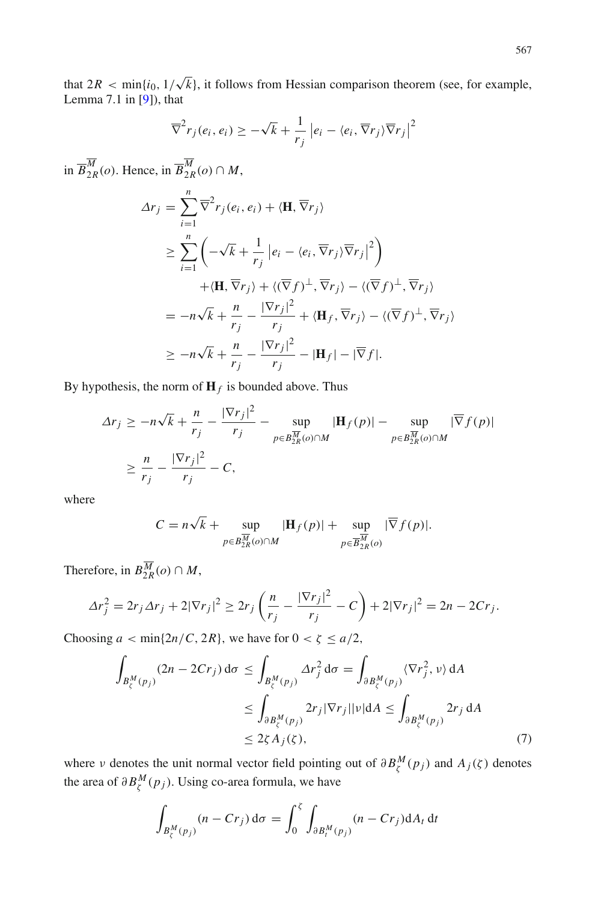that  $2R < \min\{i_0, 1/\sqrt{k}\}$ , it follows from Hessian comparison theorem (see, for example, Lemma 7.1 in  $[9]$  $[9]$ ), that

$$
\overline{\nabla}^2 r_j(e_i, e_i) \ge -\sqrt{k} + \frac{1}{r_j} \left| e_i - \langle e_i, \overline{\nabla} r_j \rangle \overline{\nabla} r_j \right|^2
$$

in  $\overline{B}_{2R}^M(o)$ . Hence, in  $\overline{B}_{2R}^M(o) \cap M$ ,

$$
\Delta r_j = \sum_{i=1}^n \overline{\nabla}^2 r_j (e_i, e_i) + \langle \mathbf{H}, \overline{\nabla} r_j \rangle
$$
  
\n
$$
\geq \sum_{i=1}^n \left( -\sqrt{k} + \frac{1}{r_j} \left| e_i - \langle e_i, \overline{\nabla} r_j \rangle \overline{\nabla} r_j \right|^2 \right)
$$
  
\n
$$
+ \langle \mathbf{H}, \overline{\nabla} r_j \rangle + \langle (\overline{\nabla} f)^{\perp}, \overline{\nabla} r_j \rangle - \langle (\overline{\nabla} f)^{\perp}, \overline{\nabla} r_j \rangle
$$
  
\n
$$
= -n\sqrt{k} + \frac{n}{r_j} - \frac{|\nabla r_j|^2}{r_j} + \langle \mathbf{H} f, \overline{\nabla} r_j \rangle - \langle (\overline{\nabla} f)^{\perp}, \overline{\nabla} r_j \rangle
$$
  
\n
$$
\geq -n\sqrt{k} + \frac{n}{r_j} - \frac{|\nabla r_j|^2}{r_j} - |\mathbf{H} f| - |\overline{\nabla} f|.
$$

By hypothesis, the norm of  $\mathbf{H}_f$  is bounded above. Thus

$$
\Delta r_j \ge -n\sqrt{k} + \frac{n}{r_j} - \frac{|\nabla r_j|^2}{r_j} - \sup_{p \in B_{2R}^{\overline{M}}(o) \cap M} |\mathbf{H}_f(p)| - \sup_{p \in B_{2R}^{\overline{M}}(o) \cap M} |\overline{\nabla} f(p)|
$$
  

$$
\ge \frac{n}{r_j} - \frac{|\nabla r_j|^2}{r_j} - C,
$$

where

$$
C = n\sqrt{k} + \sup_{p \in B_{2R}^{\overline{M}}(o) \cap M} |\mathbf{H}_f(p)| + \sup_{p \in \overline{B_{2R}^{\overline{M}}(o)}} |\overline{\nabla} f(p)|.
$$

Therefore, in  $B_{2R}^M(o) \cap M$ ,

$$
\Delta r_j^2 = 2r_j \Delta r_j + 2|\nabla r_j|^2 \ge 2r_j \left(\frac{n}{r_j} - \frac{|\nabla r_j|^2}{r_j} - C\right) + 2|\nabla r_j|^2 = 2n - 2Cr_j.
$$

Choosing  $a < \min\{2n/C, 2R\}$ , we have for  $0 < \zeta \le a/2$ ,

<span id="page-6-0"></span>
$$
\int_{B_{\xi}^{M}(p_{j})} (2n - 2Cr_{j}) d\sigma \leq \int_{B_{\xi}^{M}(p_{j})} \Delta r_{j}^{2} d\sigma = \int_{\partial B_{\xi}^{M}(p_{j})} \langle \nabla r_{j}^{2}, \nu \rangle dA
$$
\n
$$
\leq \int_{\partial B_{\xi}^{M}(p_{j})} 2r_{j} |\nabla r_{j}| |\nu| dA \leq \int_{\partial B_{\xi}^{M}(p_{j})} 2r_{j} dA
$$
\n
$$
\leq 2\zeta A_{j}(\zeta), \tag{7}
$$

where v denotes the unit normal vector field pointing out of  $\partial B^M_\zeta(p_j)$  and  $A_j(\zeta)$  denotes the area of  $\partial B^M_\zeta(p_j)$ . Using co-area formula, we have

$$
\int_{B_\zeta^M(p_j)} (n - Cr_j) d\sigma = \int_0^\zeta \int_{\partial B_t^M(p_j)} (n - Cr_j) dA_t dt
$$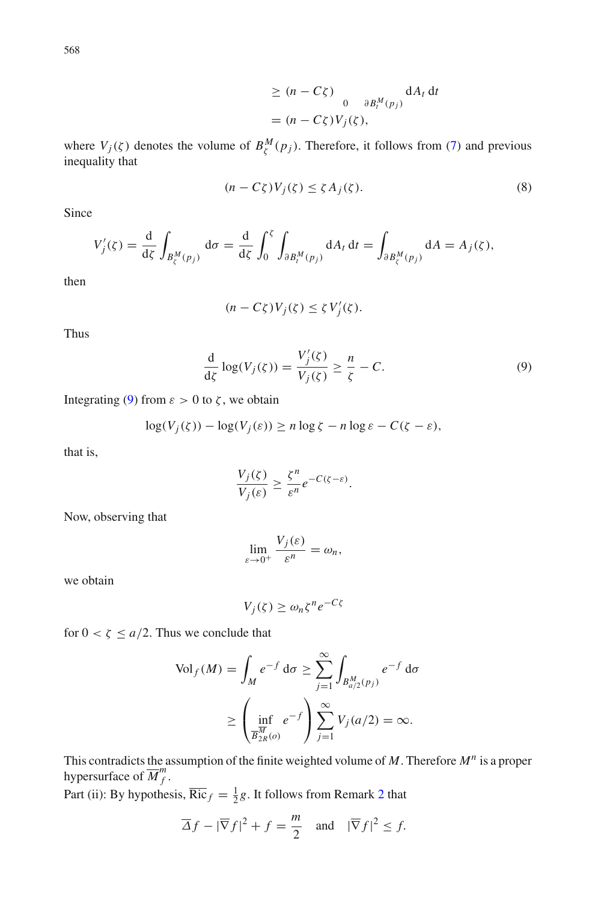$$
\geq (n - C\zeta) \int_{0}^{0} \frac{\partial B_t^M(p_j)}{\partial B_t^M(p_j)} dA_t dt
$$
  
=  $(n - C\zeta)V_j(\zeta),$ 

where  $V_j(\zeta)$  denotes the volume of  $B^M_\zeta(p_j)$ . Therefore, it follows from [\(7\)](#page-6-0) and previous inequality that

$$
(n - C\zeta)V_j(\zeta) \le \zeta A_j(\zeta). \tag{8}
$$

Since

$$
V_j'(\zeta) = \frac{\mathrm{d}}{\mathrm{d}\zeta} \int_{B_\zeta^M(p_j)} \mathrm{d}\sigma = \frac{\mathrm{d}}{\mathrm{d}\zeta} \int_0^\zeta \int_{\partial B_t^M(p_j)} \mathrm{d}A_t \, \mathrm{d}t = \int_{\partial B_\zeta^M(p_j)} \mathrm{d}A = A_j(\zeta),
$$

then

$$
(n - C\zeta)V_j(\zeta) \le \zeta V'_j(\zeta).
$$

Thus

<span id="page-7-0"></span>
$$
\frac{\mathrm{d}}{\mathrm{d}\zeta}\log(V_j(\zeta)) = \frac{V_j'(\zeta)}{V_j(\zeta)} \ge \frac{n}{\zeta} - C. \tag{9}
$$

Integrating [\(9\)](#page-7-0) from  $ε > 0$  to  $ζ$ , we obtain

$$
\log(V_j(\zeta)) - \log(V_j(\varepsilon)) \ge n \log \zeta - n \log \varepsilon - C(\zeta - \varepsilon),
$$

that is,

$$
\frac{V_j(\zeta)}{V_j(\varepsilon)} \ge \frac{\zeta^n}{\varepsilon^n} e^{-C(\zeta - \varepsilon)}.
$$

Now, observing that

$$
\lim_{\varepsilon \to 0^+} \frac{V_j(\varepsilon)}{\varepsilon^n} = \omega_n,
$$

we obtain

$$
V_j(\zeta) \ge \omega_n \zeta^n e^{-C\zeta}
$$

for  $0 < \zeta \le a/2$ . Thus we conclude that

$$
\text{Vol}_f(M) = \int_M e^{-f} \, \mathrm{d}\sigma \ge \sum_{j=1}^{\infty} \int_{B_{a/2}^M(p_j)} e^{-f} \, \mathrm{d}\sigma
$$
\n
$$
\ge \left(\inf_{\overline{B_{2R}^M(o)}} e^{-f}\right) \sum_{j=1}^{\infty} V_j(a/2) = \infty.
$$

This contradicts the assumption of the finite weighted volume of *M*. Therefore *M<sup>n</sup>* is a proper hypersurface of  $\overline{M}^m_f$ .

Part (ii): By hypothesis,  $\overline{\text{Ric}}_f = \frac{1}{2}g$  $\overline{\text{Ric}}_f = \frac{1}{2}g$  $\overline{\text{Ric}}_f = \frac{1}{2}g$ . It follows from Remark 2 that

$$
\overline{\Delta}f - |\overline{\nabla}f|^2 + f = \frac{m}{2} \quad \text{and} \quad |\overline{\nabla}f|^2 \le f.
$$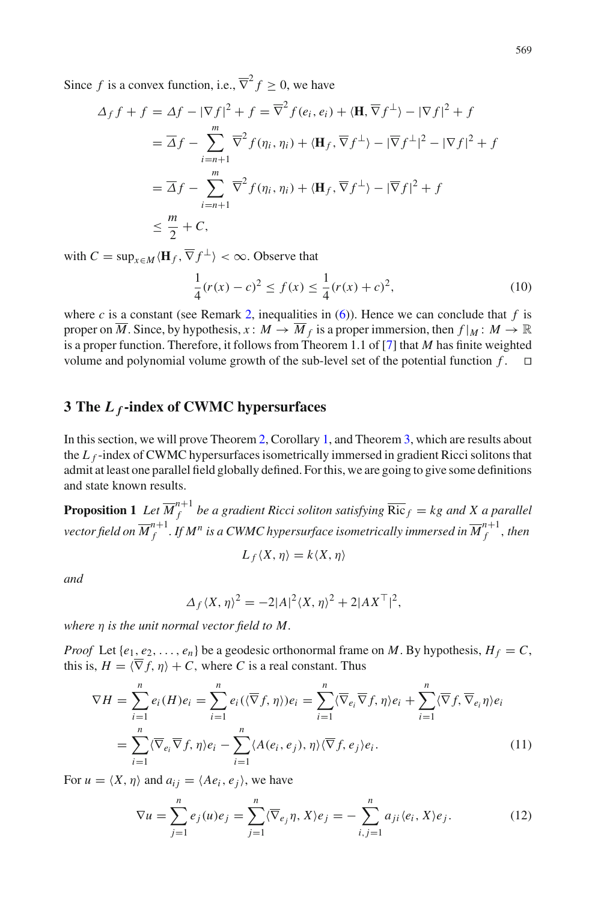Since *f* is a convex function, i.e.,  $\overline{\nabla}^2 f > 0$ , we have

$$
\Delta_{f} f + f = \Delta f - |\nabla f|^{2} + f = \overline{\nabla}^{2} f(e_{i}, e_{i}) + \langle \mathbf{H}, \overline{\nabla} f^{\perp} \rangle - |\nabla f|^{2} + f
$$
  
\n
$$
= \overline{\Delta} f - \sum_{i=n+1}^{m} \overline{\nabla}^{2} f(\eta_{i}, \eta_{i}) + \langle \mathbf{H}_{f}, \overline{\nabla} f^{\perp} \rangle - |\overline{\nabla} f^{\perp}|^{2} - |\nabla f|^{2} + f
$$
  
\n
$$
= \overline{\Delta} f - \sum_{i=n+1}^{m} \overline{\nabla}^{2} f(\eta_{i}, \eta_{i}) + \langle \mathbf{H}_{f}, \overline{\nabla} f^{\perp} \rangle - |\overline{\nabla} f|^{2} + f
$$
  
\n
$$
\leq \frac{m}{2} + C,
$$

with  $C = \sup_{x \in M} \langle \mathbf{H}_f, \overline{\nabla} f^{\perp} \rangle < \infty$ . Observe that

$$
\frac{1}{4}(r(x) - c)^2 \le f(x) \le \frac{1}{4}(r(x) + c)^2,
$$
\n(10)

where *c* is a constant (see Remark [2,](#page-5-2) inequalities in [\(6\)](#page-5-1)). Hence we can conclude that *f* is proper on  $\overline{M}$ . Since, by hypothesis,  $x : M \to \overline{M}_f$  is a proper immersion, then  $f|_M : M \to \mathbb{R}$ is a proper function. Therefore, it follows from Theorem 1.1 of [\[7](#page-20-3)] that *M* has finite weighted volume and polynomial volume growth of the sub-level set of the potential function  $f$ .  $\Box$ 

## **3 The** *L <sup>f</sup>* **-index of CWMC hypersurfaces**

In this section, we will prove Theorem [2,](#page-4-1) Corollary [1,](#page-4-0) and Theorem [3,](#page-4-3) which are results about the *L<sub>f</sub>*-index of CWMC hypersurfaces isometrically immersed in gradient Ricci solitons that admit at least one parallel field globally defined. For this, we are going to give some definitions and state known results.

<span id="page-8-2"></span>**Proposition 1** Let  $\overline{M}_f^{n+1}$  be a gradient Ricci soliton satisfying  $\overline{\text{Ric}}_f = kg$  and X a parallel vector field on  $\overline{M}_{f}^{n+1}$  . If  $M^n$  is a CWMC hypersurface isometrically immersed in  $\overline{M}_{f}^{n+1}$  , then

$$
L_f\langle X,\eta\rangle=k\langle X,\eta\rangle
$$

*and*

$$
\Delta_f \langle X, \eta \rangle^2 = -2|A|^2 \langle X, \eta \rangle^2 + 2|AX^{\top}|^2,
$$

*where* η *is the unit normal vector field to M.*

*Proof* Let  $\{e_1, e_2, \ldots, e_n\}$  be a geodesic orthonormal frame on *M*. By hypothesis,  $H_f = C$ , this is,  $H = \langle \overline{\nabla} f, \eta \rangle + C$ , where *C* is a real constant. Thus

<span id="page-8-0"></span>
$$
\nabla H = \sum_{i=1}^{n} e_i(H) e_i = \sum_{i=1}^{n} e_i(\langle \overline{\nabla} f, \eta \rangle) e_i = \sum_{i=1}^{n} \langle \overline{\nabla} e_i \overline{\nabla} f, \eta \rangle e_i + \sum_{i=1}^{n} \langle \overline{\nabla} f, \overline{\nabla} e_i \eta \rangle e_i
$$

$$
= \sum_{i=1}^{n} \langle \overline{\nabla} e_i \overline{\nabla} f, \eta \rangle e_i - \sum_{i=1}^{n} \langle A(e_i, e_j), \eta \rangle \langle \overline{\nabla} f, e_j \rangle e_i.
$$
(11)

For  $u = \langle X, \eta \rangle$  and  $a_{ij} = \langle Ae_i, e_j \rangle$ , we have

<span id="page-8-1"></span>
$$
\nabla u = \sum_{j=1}^{n} e_j(u) e_j = \sum_{j=1}^{n} \langle \overline{\nabla}_{e_j} \eta, X \rangle e_j = - \sum_{i,j=1}^{n} a_{ji} \langle e_i, X \rangle e_j.
$$
 (12)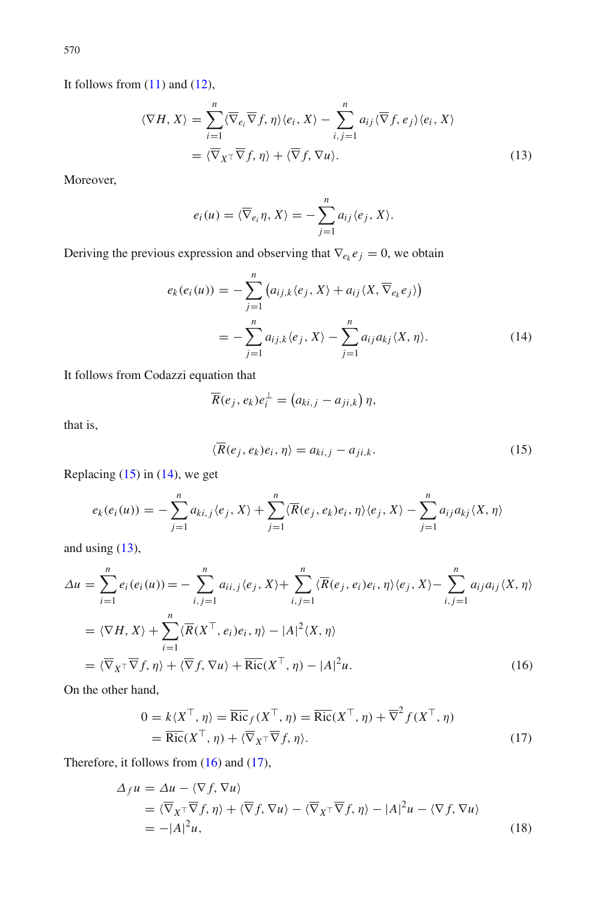It follows from  $(11)$  and  $(12)$ ,

<span id="page-9-2"></span>
$$
\langle \nabla H, X \rangle = \sum_{i=1}^{n} \langle \overline{\nabla}_{e_i} \overline{\nabla} f, \eta \rangle \langle e_i, X \rangle - \sum_{i,j=1}^{n} a_{ij} \langle \overline{\nabla} f, e_j \rangle \langle e_i, X \rangle
$$
  
=  $\langle \overline{\nabla}_{X} \overline{\nabla} f, \eta \rangle + \langle \overline{\nabla} f, \nabla u \rangle.$  (13)

Moreover,

$$
e_i(u) = \langle \overline{\nabla}_{e_i} \eta, X \rangle = - \sum_{j=1}^n a_{ij} \langle e_j, X \rangle.
$$

Deriving the previous expression and observing that  $\nabla_{e_k} e_j = 0$ , we obtain

<span id="page-9-1"></span>
$$
e_k(e_i(u)) = -\sum_{j=1}^n (a_{ij,k}\langle e_j, X\rangle + a_{ij}\langle X, \overline{\nabla}_{e_k} e_j\rangle)
$$
  
= 
$$
-\sum_{j=1}^n a_{ij,k}\langle e_j, X\rangle - \sum_{j=1}^n a_{ij}a_{kj}\langle X, \eta\rangle.
$$
 (14)

It follows from Codazzi equation that

$$
\overline{R}(e_j,e_k)e_i^{\perp}=(a_{ki,j}-a_{ji,k})\eta,
$$

that is,

<span id="page-9-0"></span>
$$
\langle \overline{R}(e_j, e_k)e_i, \eta \rangle = a_{ki,j} - a_{ji,k}.\tag{15}
$$

Replacing  $(15)$  in  $(14)$ , we get

$$
e_k(e_i(u)) = -\sum_{j=1}^n a_{ki,j} \langle e_j, X \rangle + \sum_{j=1}^n \langle \overline{R}(e_j, e_k)e_i, \eta \rangle \langle e_j, X \rangle - \sum_{j=1}^n a_{ij} a_{kj} \langle X, \eta \rangle
$$

and using  $(13)$ ,

<span id="page-9-3"></span>
$$
\Delta u = \sum_{i=1}^{n} e_i(e_i(u)) = -\sum_{i,j=1}^{n} a_{ii,j} \langle e_j, X \rangle + \sum_{i,j=1}^{n} \langle \overline{R}(e_j, e_i) e_i, \eta \rangle \langle e_j, X \rangle - \sum_{i,j=1}^{n} a_{ij} a_{ij} \langle X, \eta \rangle
$$
  

$$
= \langle \nabla H, X \rangle + \sum_{i=1}^{n} \langle \overline{R}(X^{\top}, e_i) e_i, \eta \rangle - |A|^2 \langle X, \eta \rangle
$$
  

$$
= \langle \overline{\nabla}_{X^{\top}} \overline{\nabla} f, \eta \rangle + \langle \overline{\nabla} f, \nabla u \rangle + \overline{\text{Ric}}(X^{\top}, \eta) - |A|^2 u.
$$
 (16)

On the other hand,

<span id="page-9-4"></span>
$$
0 = k\langle X^{\top}, \eta \rangle = \overline{\text{Ric}}_{f}(X^{\top}, \eta) = \overline{\text{Ric}}_{f}(X^{\top}, \eta) + \overline{\nabla}^{2} f(X^{\top}, \eta)
$$
  
=  $\overline{\text{Ric}}_{f}(X^{\top}, \eta) + \langle \overline{\nabla}_{X} \cdot \overline{\nabla}_{f} f, \eta \rangle.$  (17)

Therefore, it follows from [\(16\)](#page-9-3) and [\(17\)](#page-9-4),

<span id="page-9-5"></span>
$$
\Delta_{f} u = \Delta u - \langle \nabla f, \nabla u \rangle
$$
  
=  $\langle \overline{\nabla}_{X} \cdot \overline{\nabla} f, \eta \rangle + \langle \overline{\nabla} f, \nabla u \rangle - \langle \overline{\nabla}_{X} \cdot \overline{\nabla} f, \eta \rangle - |A|^{2} u - \langle \nabla f, \nabla u \rangle$   
=  $-|A|^{2} u$ , (18)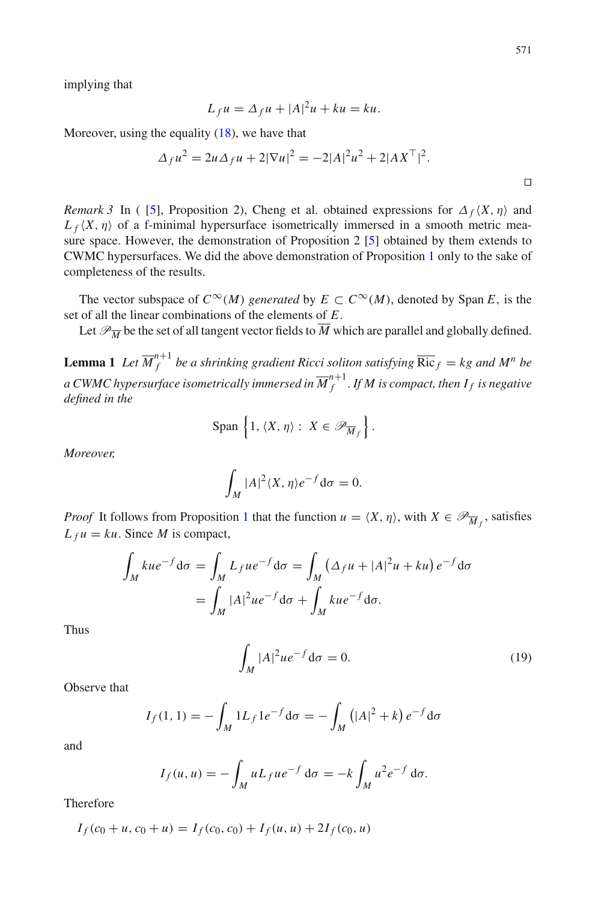implying that

$$
L_f u = \Delta_f u + |A|^2 u + ku = ku.
$$

Moreover, using the equality [\(18\)](#page-9-5), we have that

$$
\Delta_f u^2 = 2u \Delta_f u + 2|\nabla u|^2 = -2|A|^2 u^2 + 2|AX^\top|^2.
$$

*Remark 3* In ([\[5](#page-20-13)], Proposition 2), Cheng et al. obtained expressions for  $\Delta_f \langle X, \eta \rangle$  and  $L_f\langle X,\eta\rangle$  of a f-minimal hypersurface isometrically immersed in a smooth metric measure space. However, the demonstration of Proposition 2 [\[5](#page-20-13)] obtained by them extends to CWMC hypersurfaces. We did the above demonstration of Proposition [1](#page-8-2) only to the sake of completeness of the results.

The vector subspace of  $C^{\infty}(M)$  *generated* by  $E \subset C^{\infty}(M)$ , denoted by Span *E*, is the set of all the linear combinations of the elements of *E*.

<span id="page-10-0"></span>Let  $\mathcal{P}_{\overline{M}}$  be the set of all tangent vector fields to  $\overline{M}$  which are parallel and globally defined.

**Lemma 1** Let  $\overline{M}_f^{n+1}$  be a shrinking gradient Ricci soliton satisfying  $\overline{\text{Ric}}_f = kg$  and  $M^n$  be a CWMC hypersurface isometrically immersed in  $\overline{M}_{f}^{n+1}.$  If  $M$  is compact, then  $I_f$  is negative *defined in the*

$$
\text{Span}\,\left\{1,\,\langle X,\,\eta\rangle:\ X\in\mathscr{P}_{\overline{M}_f}\right\}.
$$

*Moreover,*

$$
\int_M |A|^2 \langle X, \eta \rangle e^{-f} d\sigma = 0.
$$

*Proof* It follows from Proposition [1](#page-8-2) that the function  $u = \langle X, \eta \rangle$ , with  $X \in \mathcal{P}_{\overline{M}_f}$ , satisfies  $L_f u = ku$ . Since *M* is compact,

$$
\int_{M} kue^{-f}d\sigma = \int_{M} L_{f}ue^{-f}d\sigma = \int_{M} (\Delta_{f}u + |A|^{2}u + ku) e^{-f}d\sigma
$$

$$
= \int_{M} |A|^{2}ue^{-f}d\sigma + \int_{M} kue^{-f}d\sigma.
$$

Thus

$$
\int_{M} |A|^{2} u e^{-f} d\sigma = 0.
$$
\n(19)

Observe that

$$
I_f(1, 1) = -\int_M 1L_f 1e^{-f} d\sigma = -\int_M (|A|^2 + k) e^{-f} d\sigma
$$

and

$$
I_f(u, u) = -\int_M u L_f u e^{-f} d\sigma = -k \int_M u^2 e^{-f} d\sigma.
$$

Therefore

$$
I_f(c_0 + u, c_0 + u) = I_f(c_0, c_0) + I_f(u, u) + 2I_f(c_0, u)
$$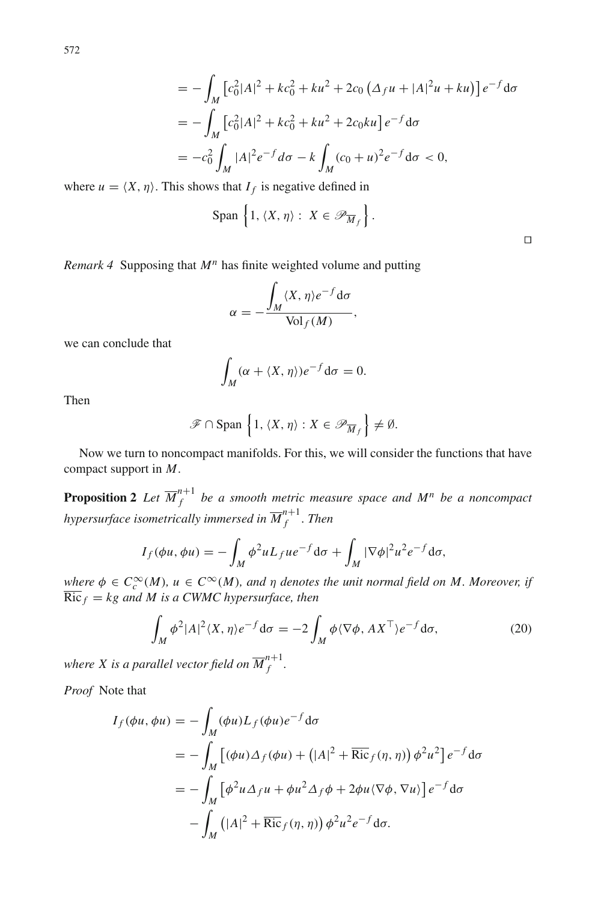$$
= -\int_{M} \left[c_{0}^{2}|A|^{2} + kc_{0}^{2} + ku^{2} + 2c_{0} \left(\Delta_{f} u + |A|^{2} u + ku\right)\right] e^{-f} d\sigma
$$
  
\n
$$
= -\int_{M} \left[c_{0}^{2}|A|^{2} + kc_{0}^{2} + ku^{2} + 2c_{0}ku\right] e^{-f} d\sigma
$$
  
\n
$$
= -c_{0}^{2} \int_{M} |A|^{2} e^{-f} d\sigma - k \int_{M} (c_{0} + u)^{2} e^{-f} d\sigma < 0,
$$

where  $u = \langle X, \eta \rangle$ . This shows that  $I_f$  is negative defined in

$$
\text{Span}\left\{1, \langle X, \eta \rangle: X \in \mathscr{P}_{\overline{M}_f}\right\}.
$$

 $\Box$ 

*Remark 4* Supposing that *M<sup>n</sup>* has finite weighted volume and putting

$$
\alpha = -\frac{\int_M \langle X, \eta \rangle e^{-f} d\sigma}{\text{Vol}_f(M)},
$$

we can conclude that

$$
\int_M (\alpha + \langle X, \eta \rangle) e^{-f} d\sigma = 0.
$$

Then

$$
\mathscr{F} \cap \text{Span}\left\{1, \langle X, \eta \rangle : X \in \mathscr{P}_{\overline{M}_f}\right\} \neq \emptyset.
$$

<span id="page-11-0"></span>Now we turn to noncompact manifolds. For this, we will consider the functions that have compact support in *M*.

**Proposition 2** Let  $\overline{M}_{f}^{n+1}$  be a smooth metric measure space and  $M^n$  be a noncompact hypersurface isometrically immersed in  $\overline{M}_{f}^{n+1}$  . Then

$$
I_f(\phi u, \phi u) = -\int_M \phi^2 u L_f u e^{-f} d\sigma + \int_M |\nabla \phi|^2 u^2 e^{-f} d\sigma,
$$

 $\mu$ *e*  $\phi \in C_c^{\infty}(M)$ ,  $u \in C^{\infty}(M)$ , and  $\eta$  denotes the unit normal field on M. Moreover, if  $\overline{{\rm Ric}}_f = kg$  and M is a CWMC hypersurface, then

<span id="page-11-1"></span>
$$
\int_M \phi^2 |A|^2 \langle X, \eta \rangle e^{-f} d\sigma = -2 \int_M \phi \langle \nabla \phi, A X^\top \rangle e^{-f} d\sigma,\tag{20}
$$

where X is a parallel vector field on  $\overline{M}_{f}^{n+1}.$ 

*Proof* Note that

$$
I_f(\phi u, \phi u) = -\int_M (\phi u) L_f(\phi u) e^{-f} d\sigma
$$
  
=  $-\int_M [(\phi u) \Delta_f(\phi u) + (|A|^2 + \overline{\text{Ric}}_f(\eta, \eta)) \phi^2 u^2] e^{-f} d\sigma$   
=  $-\int_M [\phi^2 u \Delta_f u + \phi u^2 \Delta_f \phi + 2\phi u \langle \nabla \phi, \nabla u \rangle] e^{-f} d\sigma$   
 $-\int_M (|A|^2 + \overline{\text{Ric}}_f(\eta, \eta)) \phi^2 u^2 e^{-f} d\sigma.$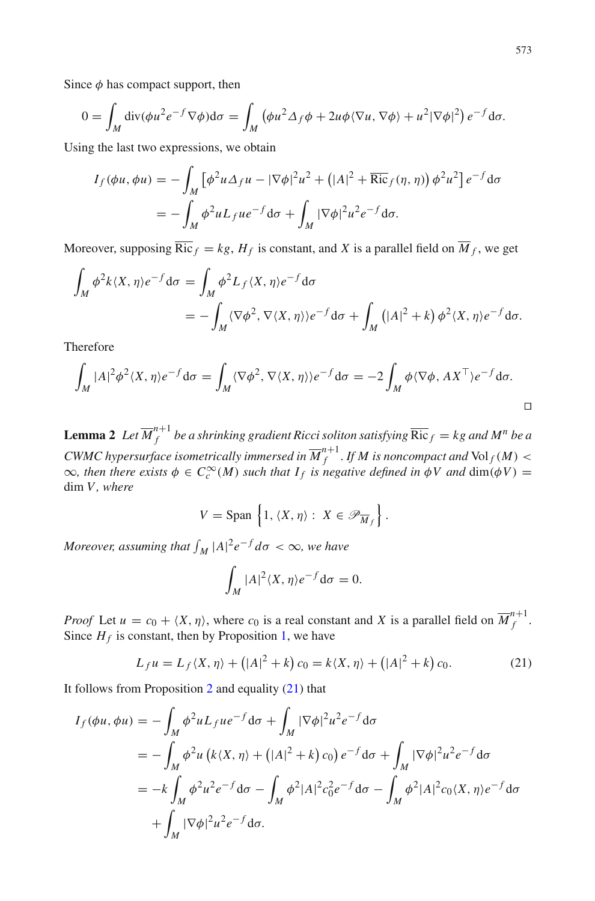Since  $\phi$  has compact support, then

$$
0 = \int_M \operatorname{div}(\phi u^2 e^{-f} \nabla \phi) d\sigma = \int_M (\phi u^2 \Delta_f \phi + 2u\phi \langle \nabla u, \nabla \phi \rangle + u^2 |\nabla \phi|^2) e^{-f} d\sigma.
$$

Using the last two expressions, we obtain

$$
I_f(\phi u, \phi u) = -\int_M \left[ \phi^2 u \Delta_f u - |\nabla \phi|^2 u^2 + (|A|^2 + \overline{\text{Ric}}_f(\eta, \eta)) \phi^2 u^2 \right] e^{-f} d\sigma
$$
  
= 
$$
- \int_M \phi^2 u L_f u e^{-f} d\sigma + \int_M |\nabla \phi|^2 u^2 e^{-f} d\sigma.
$$

Moreover, supposing  $\overline{\text{Ric}}_f = kg$ ,  $H_f$  is constant, and *X* is a parallel field on  $\overline{M}_f$ , we get

$$
\int_M \phi^2 k \langle X, \eta \rangle e^{-f} d\sigma = \int_M \phi^2 L_f \langle X, \eta \rangle e^{-f} d\sigma
$$
  
= 
$$
- \int_M \langle \nabla \phi^2, \nabla \langle X, \eta \rangle \rangle e^{-f} d\sigma + \int_M \left( |A|^2 + k \right) \phi^2 \langle X, \eta \rangle e^{-f} d\sigma.
$$

Therefore

$$
\int_M |A|^2 \phi^2 \langle X, \eta \rangle e^{-f} d\sigma = \int_M \langle \nabla \phi^2, \nabla \langle X, \eta \rangle \rangle e^{-f} d\sigma = -2 \int_M \phi \langle \nabla \phi, A X^{\top} \rangle e^{-f} d\sigma.
$$

<span id="page-12-1"></span>**Lemma 2** Let  $\overline{M}_f^{n+1}$  be a shrinking gradient Ricci soliton satisfying  $\overline{\mathrm{Ric}}_f = kg$  and  $M^n$  be a CWMC hypersurface isometrically immersed in  $\overline{M}_{f}^{n+1}$  . If  $M$  is noncompact and  $\text{Vol}_f(M) <$  $\infty$ , then there exists  $\phi \in C_c^{\infty}(M)$  such that  $I_f$  is negative defined in  $\phi V$  and  $\dim(\phi V) =$ dim *V*, where

$$
V = \text{Span}\left\{1, \langle X, \eta \rangle : X \in \mathscr{P}_{\overline{M}_f}\right\}.
$$

*Moreover, assuming that*  $\int_M |A|^2 e^{-f} d\sigma < \infty$ , we have

$$
\int_M |A|^2 \langle X, \eta \rangle e^{-f} d\sigma = 0.
$$

*Proof* Let  $u = c_0 + \langle X, \eta \rangle$ , where  $c_0$  is a real constant and *X* is a parallel field on  $\overline{M}_{f}^{n+1}$ . Since  $H_f$  is constant, then by Proposition [1,](#page-8-2) we have

<span id="page-12-0"></span>
$$
L_f u = L_f \langle X, \eta \rangle + (|A|^2 + k) c_0 = k \langle X, \eta \rangle + (|A|^2 + k) c_0.
$$
 (21)

It follows from Proposition  $2$  and equality  $(21)$  that

$$
I_f(\phi u, \phi u) = -\int_M \phi^2 u L_f u e^{-f} d\sigma + \int_M |\nabla \phi|^2 u^2 e^{-f} d\sigma
$$
  

$$
= -\int_M \phi^2 u (k \langle X, \eta \rangle + (|A|^2 + k) c_0) e^{-f} d\sigma + \int_M |\nabla \phi|^2 u^2 e^{-f} d\sigma
$$
  

$$
= -k \int_M \phi^2 u^2 e^{-f} d\sigma - \int_M \phi^2 |A|^2 c_0^2 e^{-f} d\sigma - \int_M \phi^2 |A|^2 c_0 \langle X, \eta \rangle e^{-f} d\sigma
$$
  

$$
+ \int_M |\nabla \phi|^2 u^2 e^{-f} d\sigma.
$$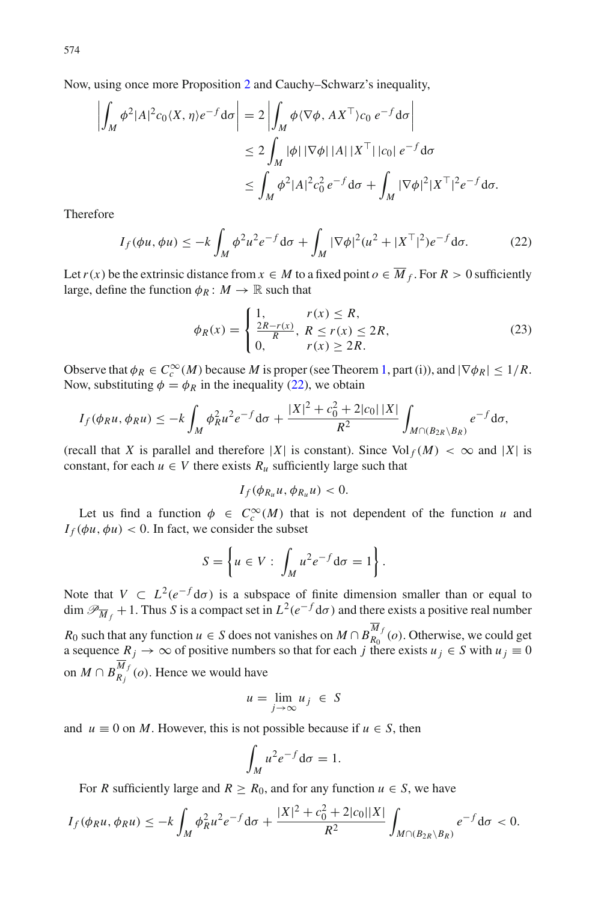$$
\left| \int_M \phi^2 |A|^2 c_0 \langle X, \eta \rangle e^{-f} d\sigma \right| = 2 \left| \int_M \phi \langle \nabla \phi, A X^{\top} \rangle c_0 e^{-f} d\sigma \right|
$$
  
\n
$$
\leq 2 \int_M |\phi| |\nabla \phi| |A| |X^{\top} | |c_0| e^{-f} d\sigma
$$
  
\n
$$
\leq \int_M \phi^2 |A|^2 c_0^2 e^{-f} d\sigma + \int_M |\nabla \phi|^2 |X^{\top}|^2 e^{-f} d\sigma.
$$

Therefore

<span id="page-13-0"></span>
$$
I_f(\phi u, \phi u) \le -k \int_M \phi^2 u^2 e^{-f} d\sigma + \int_M |\nabla \phi|^2 (u^2 + |X^\top|^2) e^{-f} d\sigma.
$$
 (22)

Let  $r(x)$  be the extrinsic distance from  $x \in M$  to a fixed point  $o \in \overline{M}_f$ . For  $R > 0$  sufficiently large, define the function  $\phi_R : M \to \mathbb{R}$  such that

<span id="page-13-1"></span>
$$
\phi_R(x) = \begin{cases} 1, & r(x) \le R, \\ \frac{2R - r(x)}{R}, & R \le r(x) \le 2R, \\ 0, & r(x) \ge 2R. \end{cases}
$$
(23)

Observe that  $\phi_R \in C_c^{\infty}(M)$  because *M* is proper (see Theorem [1,](#page-2-2) part (i)), and  $|\nabla \phi_R| \leq 1/R$ . Now, substituting  $\phi = \phi_R$  in the inequality [\(22\)](#page-13-0), we obtain

$$
I_f(\phi_R u, \phi_R u) \le -k \int_M \phi_R^2 u^2 e^{-f} d\sigma + \frac{|X|^2 + c_0^2 + 2|c_0||X|}{R^2} \int_{M \cap (B_{2R} \setminus B_R)} e^{-f} d\sigma,
$$

(recall that *X* is parallel and therefore |*X*| is constant). Since  $\text{Vol}_f(M) < \infty$  and |*X*| is constant, for each  $u \in V$  there exists  $R_u$  sufficiently large such that

$$
I_f(\phi_{R_u}u,\phi_{R_u}u)<0.
$$

Let us find a function  $\phi \in C_c^{\infty}(M)$  that is not dependent of the function *u* and  $I_f(\phi u, \phi u) < 0$ . In fact, we consider the subset

$$
S = \left\{ u \in V : \int_M u^2 e^{-f} d\sigma = 1 \right\}.
$$

Note that  $V \text{ }\subset L^2(e^{-f}d\sigma)$  is a subspace of finite dimension smaller than or equal to dim  $\mathcal{P}_{\overline{M}_f}$  + 1. Thus *S* is a compact set in  $L^2(e^{-f}d\sigma)$  and there exists a positive real number *R*<sub>0</sub> such that any function *u* ∈ *S* does not vanishes on *M* ∩  $B_{R_0}^{M_f}(o)$ . Otherwise, we could get a sequence  $R_j \to \infty$  of positive numbers so that for each *j* there exists  $u_j \in S$  with  $u_j \equiv 0$ on *M* ∩  $B_{R_j}^{M_f}(o)$ . Hence we would have

$$
u = \lim_{j \to \infty} u_j \in S
$$

and  $u \equiv 0$  on *M*. However, this is not possible because if  $u \in S$ , then

$$
\int_M u^2 e^{-f} \mathrm{d}\sigma = 1.
$$

For *R* sufficiently large and  $R \ge R_0$ , and for any function  $u \in S$ , we have

$$
I_f(\phi_R u, \phi_R u) \leq -k \int_M \phi_R^2 u^2 e^{-f} d\sigma + \frac{|X|^2 + c_0^2 + 2|c_0||X|}{R^2} \int_{M \cap (B_{2R} \setminus B_R)} e^{-f} d\sigma < 0.
$$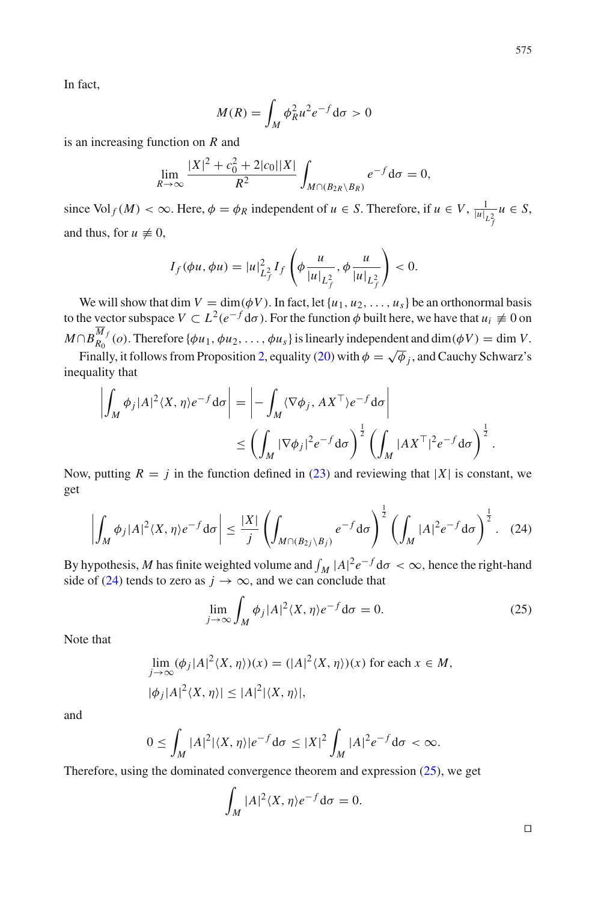In fact,

$$
M(R) = \int_M \phi_R^2 u^2 e^{-f} d\sigma > 0
$$

is an increasing function on *R* and

$$
\lim_{R \to \infty} \frac{|X|^2 + c_0^2 + 2|c_0||X|}{R^2} \int_{M \cap (B_{2R} \setminus B_R)} e^{-f} d\sigma = 0,
$$

since Vol  $_f(M) < \infty$ . Here,  $\phi = \phi_R$  independent of  $u \in S$ . Therefore, if  $u \in V$ ,  $\frac{1}{|u|_{L_f^2}} u \in S$ , and thus, for  $u \neq 0$ ,

$$
I_f(\phi u, \phi u) = |u|_{L_f^2}^2 I_f\left(\phi \frac{u}{|u|_{L_f^2}}, \phi \frac{u}{|u|_{L_f^2}}\right) < 0.
$$

We will show that dim  $V = \dim(\phi V)$ . In fact, let  $\{u_1, u_2, \dots, u_s\}$  be an orthonormal basis to the vector subspace  $V \subset L^2(e^{-f} d\sigma)$ . For the function  $\phi$  built here, we have that  $u_i \neq 0$  on  $M \cap B_{R_0}^{M_f}(o)$ . Therefore { $\phi u_1, \phi u_2, \ldots, \phi u_s$ } is linearly independent and dim( $\phi V$ ) = dim *V*.

Finally, it follows from Proposition [2,](#page-11-0) equality [\(20\)](#page-11-1) with  $\phi = \sqrt{\phi}$  *j*, and Cauchy Schwarz's inequality that

$$
\left| \int_M \phi_j |A|^2 \langle X, \eta \rangle e^{-f} d\sigma \right| = \left| - \int_M \langle \nabla \phi_j, A X^{\top} \rangle e^{-f} d\sigma \right|
$$
  

$$
\leq \left( \int_M |\nabla \phi_j|^2 e^{-f} d\sigma \right)^{\frac{1}{2}} \left( \int_M |A X^{\top} |^2 e^{-f} d\sigma \right)^{\frac{1}{2}}.
$$

Now, putting  $R = j$  in the function defined in [\(23\)](#page-13-1) and reviewing that |X| is constant, we get

<span id="page-14-0"></span>
$$
\left| \int_M \phi_j |A|^2 \langle X, \eta \rangle e^{-f} d\sigma \right| \le \frac{|X|}{j} \left( \int_{M \cap (B_2 / \setminus B_j)} e^{-f} d\sigma \right)^{\frac{1}{2}} \left( \int_M |A|^2 e^{-f} d\sigma \right)^{\frac{1}{2}}.
$$
 (24)

By hypothesis, *M* has finite weighted volume and  $\int_M |A|^2 e^{-f} d\sigma < \infty$ , hence the right-hand side of [\(24\)](#page-14-0) tends to zero as  $j \to \infty$ , and we can conclude that

<span id="page-14-1"></span>
$$
\lim_{j \to \infty} \int_M \phi_j |A|^2 \langle X, \eta \rangle e^{-f} d\sigma = 0. \tag{25}
$$

Note that

$$
\lim_{j \to \infty} (\phi_j |A|^2 \langle X, \eta \rangle)(x) = (|A|^2 \langle X, \eta \rangle)(x)
$$
 for each  $x \in M$ ,  

$$
|\phi_j |A|^2 \langle X, \eta \rangle| \le |A|^2 |\langle X, \eta \rangle|,
$$

and

$$
0 \leq \int_M |A|^2 |\langle X, \eta \rangle| e^{-f} d\sigma \leq |X|^2 \int_M |A|^2 e^{-f} d\sigma < \infty.
$$

Therefore, using the dominated convergence theorem and expression  $(25)$ , we get

$$
\int_M |A|^2 \langle X, \eta \rangle e^{-f} d\sigma = 0.
$$

 $\Box$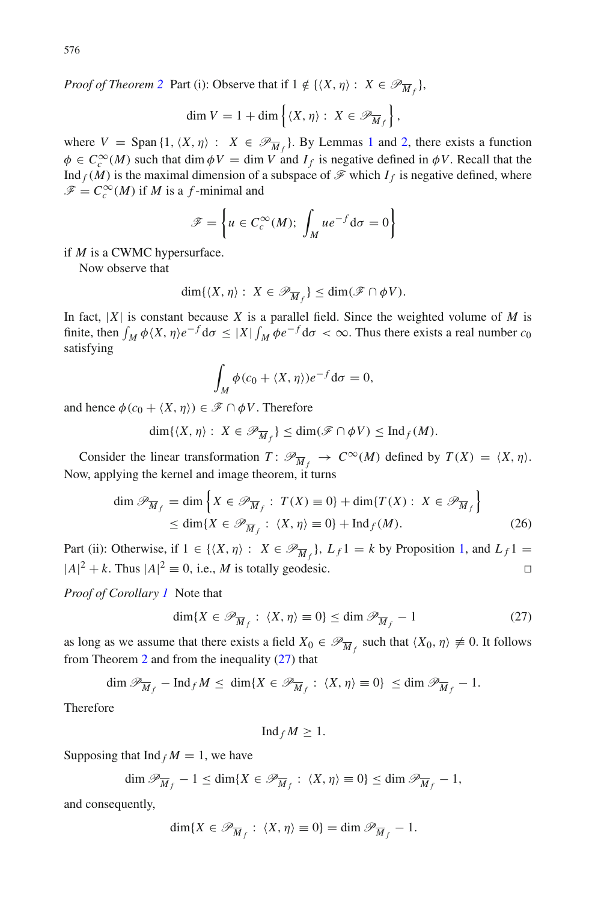*Proof of Theorem [2](#page-4-1)* Part (i): Observe that if  $1 \notin \{ \langle X, \eta \rangle : X \in \mathcal{P}_{\overline{M}_f} \}$ ,

$$
\dim V = 1 + \dim \left\{ \langle X, \eta \rangle : X \in \mathscr{P}_{\overline{M}_f} \right\},\
$$

where  $V = \text{Span} \{1, \langle X, \eta \rangle : X \in \mathcal{P}_{\overline{M}_f}\}.$  $V = \text{Span} \{1, \langle X, \eta \rangle : X \in \mathcal{P}_{\overline{M}_f}\}.$  $V = \text{Span} \{1, \langle X, \eta \rangle : X \in \mathcal{P}_{\overline{M}_f}\}.$  By Lemmas 1 and [2,](#page-12-1) there exists a function  $\phi \in C_c^{\infty}(M)$  such that dim  $\phi V = \dim V$  and  $I_f$  is negative defined in  $\phi V$ . Recall that the Ind  $_f(M)$  is the maximal dimension of a subspace of  $\mathcal F$  which  $I_f$  is negative defined, where  $\mathscr{F} = C_c^{\infty}(M)$  if *M* is a *f*-minimal and

$$
\mathscr{F} = \left\{ u \in C_c^{\infty}(M); \int_M u e^{-f} d\sigma = 0 \right\}
$$

if *M* is a CWMC hypersurface.

Now observe that

$$
\dim\{\langle X,\eta\rangle:\ X\in\mathscr{P}_{\overline{M}_f}\}\leq\dim(\mathscr{F}\cap\phi V).
$$

In fact,  $|X|$  is constant because X is a parallel field. Since the weighted volume of M is finite, then  $\int_M \phi\langle X,\eta\rangle e^{-f} d\sigma \leq |X| \int_M \phi e^{-f} d\sigma < \infty$ . Thus there exists a real number  $c_0$ satisfying

$$
\int_M \phi(c_0 + \langle X, \eta \rangle) e^{-f} d\sigma = 0,
$$

and hence  $\phi(c_0 + \langle X, \eta \rangle) \in \mathcal{F} \cap \phi V$ . Therefore

$$
\dim\{ \langle X, \eta \rangle : X \in \mathcal{P}_{\overline{M}_f} \} \le \dim(\mathcal{F} \cap \phi V) \le \mathrm{Ind}_f(M).
$$

Consider the linear transformation  $T: \mathcal{P}_{\overline{M}_f} \to C^\infty(M)$  defined by  $T(X) = \langle X, \eta \rangle$ . Now, applying the kernel and image theorem, it turns

$$
\dim \mathcal{P}_{\overline{M}_f} = \dim \left\{ X \in \mathcal{P}_{\overline{M}_f} : T(X) \equiv 0 \right\} + \dim \{ T(X) : X \in \mathcal{P}_{\overline{M}_f} \}
$$
\n
$$
\leq \dim \{ X \in \mathcal{P}_{\overline{M}_f} : \langle X, \eta \rangle \equiv 0 \} + \mathrm{Ind}_f(M). \tag{26}
$$

Part (ii): Otherwise, if  $1 \in \{ \langle X, \eta \rangle : X \in \mathcal{P}_{\overline{M}_f} \}$ ,  $L_f 1 = k$  by Proposition [1,](#page-8-2) and  $L_f 1 =$  $|A|^2 + k$ . Thus  $|A|^2 \equiv 0$ , i.e., *M* is totally geodesic.

*Proof of Corollary [1](#page-4-0)* Note that

<span id="page-15-0"></span>
$$
\dim\{X \in \mathscr{P}_{\overline{M}_f} : \langle X, \eta \rangle \equiv 0\} \le \dim \mathscr{P}_{\overline{M}_f} - 1 \tag{27}
$$

as long as we assume that there exists a field  $X_0 \in \mathcal{P}_{\overline{M}_f}$  such that  $\langle X_0, \eta \rangle \neq 0$ . It follows from Theorem [2](#page-4-1) and from the inequality [\(27\)](#page-15-0) that

$$
\dim \mathscr{P}_{\overline{M}_f} - \operatorname{Ind}_f M \le \dim \{ X \in \mathscr{P}_{\overline{M}_f} : \langle X, \eta \rangle \equiv 0 \} \le \dim \mathscr{P}_{\overline{M}_f} - 1.
$$

Therefore

$$
\mathrm{Ind}_f M \geq 1.
$$

Supposing that  $\text{Ind}_f M = 1$ , we have

$$
\dim \mathscr{P}_{\overline{M}_f} - 1 \le \dim \{ X \in \mathscr{P}_{\overline{M}_f} : \langle X, \eta \rangle \equiv 0 \} \le \dim \mathscr{P}_{\overline{M}_f} - 1,
$$

and consequently,

$$
\dim\{X\in\mathscr{P}_{\overline{M}_f}: \langle X,\eta\rangle\equiv 0\}=\dim\mathscr{P}_{\overline{M}_f}-1.
$$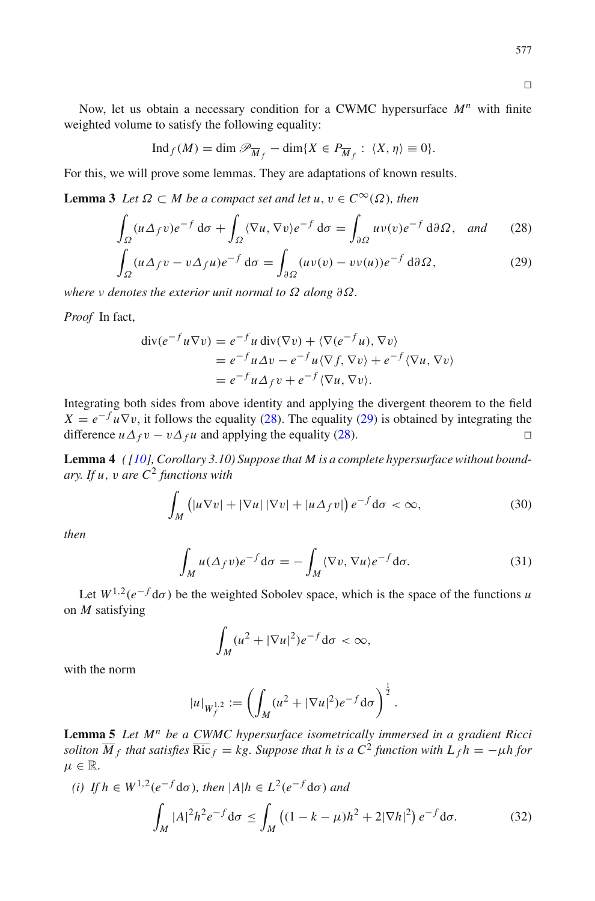$\Box$ 

Now, let us obtain a necessary condition for a CWMC hypersurface *M<sup>n</sup>* with finite weighted volume to satisfy the following equality:

$$
\operatorname{Ind}_f(M) = \dim \mathscr{P}_{\overline{M}_f} - \dim\{X \in P_{\overline{M}_f} : \langle X, \eta \rangle \equiv 0\}.
$$

<span id="page-16-1"></span>For this, we will prove some lemmas. They are adaptations of known results.

**Lemma 3** *Let*  $\Omega \subset M$  *be a compact set and let*  $u, v \in C^{\infty}(\Omega)$ *, then* 

<span id="page-16-0"></span>
$$
\int_{\Omega} (u \Delta_f v) e^{-f} d\sigma + \int_{\Omega} \langle \nabla u, \nabla v \rangle e^{-f} d\sigma = \int_{\partial \Omega} uv(v) e^{-f} d\partial \Omega, \text{ and } (28)
$$

$$
\int_{\Omega} (u \Delta_f v - v \Delta_f u) e^{-f} d\sigma = \int_{\partial \Omega} (u v(v) - v v(u)) e^{-f} d\partial \Omega,
$$
\n(29)

*where v denotes the exterior unit normal to*  $\Omega$  *along*  $\partial \Omega$ *.* 

*Proof* In fact,

$$
\begin{aligned} \operatorname{div}(e^{-f}u\nabla v) &= e^{-f}u \operatorname{div}(\nabla v) + \langle \nabla(e^{-f}u), \nabla v \rangle \\ &= e^{-f}u\Delta v - e^{-f}u\langle \nabla f, \nabla v \rangle + e^{-f}\langle \nabla u, \nabla v \rangle \\ &= e^{-f}u\Delta_f v + e^{-f}\langle \nabla u, \nabla v \rangle. \end{aligned}
$$

Integrating both sides from above identity and applying the divergent theorem to the field  $X = e^{-f} u \nabla v$ , it follows the equality [\(28\)](#page-16-0). The equality [\(29\)](#page-16-0) is obtained by integrating the difference  $u \Delta_f v - v \Delta_f u$  and applying the equality (28). difference  $u \Delta_f v - v \Delta_f u$  and applying the equality [\(28\)](#page-16-0).

<span id="page-16-3"></span>**Lemma 4** *( [\[10](#page-20-11)], Corollary 3.10) Suppose that M is a complete hypersurface without boundary. If u*, v *are C*<sup>2</sup> *functions with*

$$
\int_{M} \left( |u\nabla v| + |\nabla u| |\nabla v| + |u \Delta_f v| \right) e^{-f} d\sigma < \infty,
$$
\n(30)

*then*

$$
\int_{M} u(\Delta_{f}v)e^{-f}d\sigma = -\int_{M} \langle \nabla v, \nabla u \rangle e^{-f}d\sigma.
$$
\n(31)

Let  $W^{1,2}(e^{-f}d\sigma)$  be the weighted Sobolev space, which is the space of the functions *u* on *M* satisfying

$$
\int_M (u^2 + |\nabla u|^2) e^{-f} \mathrm{d}\sigma < \infty,
$$

with the norm

$$
|u|_{W_f^{1,2}} := \left(\int_M (u^2 + |\nabla u|^2) e^{-f} d\sigma\right)^{\frac{1}{2}}.
$$

<span id="page-16-2"></span>**Lemma 5** *Let M<sup>n</sup> be a CWMC hypersurface isometrically immersed in a gradient Ricci soliton*  $\overline{M}_f$  *that satisfies*  $\overline{\text{Ric}}_f = kg$ *. Suppose that h is a*  $C^2$  *function with*  $L_f h = -\mu h$  *for*  $\mu \in \mathbb{R}$ .

(i) If 
$$
h \in W^{1,2}(e^{-f} d\sigma)
$$
, then  $|A|h \in L^2(e^{-f} d\sigma)$  and  

$$
\int_M |A|^2 h^2 e^{-f} d\sigma \le \int_M ((1 - k - \mu)h^2 + 2|\nabla h|^2) e^{-f} d\sigma.
$$
 (32)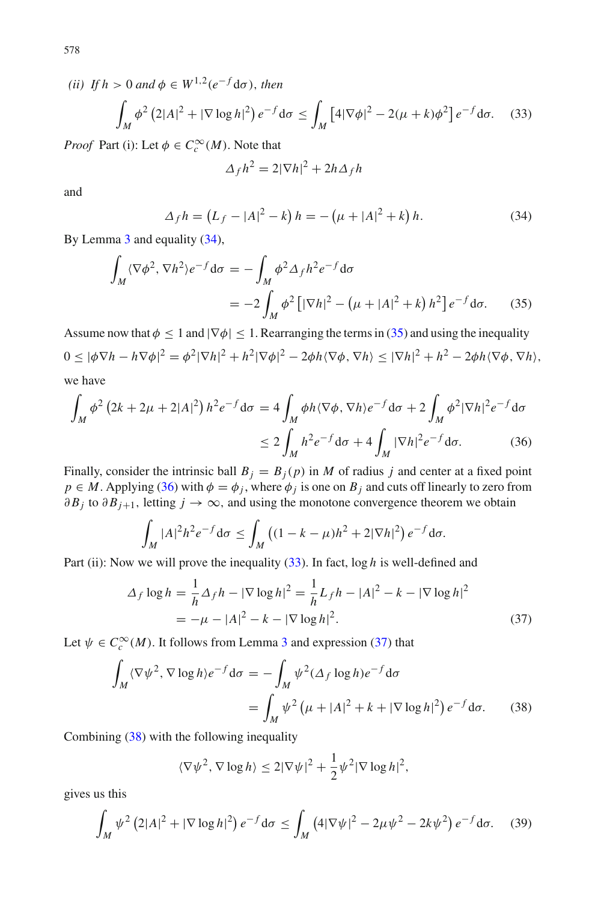*(ii) If*  $h > 0$  *and*  $\phi \in W^{1,2}(e^{-f}d\sigma)$ *, then* 

<span id="page-17-3"></span>
$$
\int_M \phi^2 (2|A|^2 + |\nabla \log h|^2) e^{-f} d\sigma \le \int_M [4|\nabla \phi|^2 - 2(\mu + k)\phi^2] e^{-f} d\sigma. \tag{33}
$$

*Proof* Part (i): Let  $\phi \in C_c^{\infty}(M)$ . Note that

$$
\Delta_f h^2 = 2|\nabla h|^2 + 2h\Delta_f h
$$

and

<span id="page-17-0"></span>
$$
\Delta_f h = (L_f - |A|^2 - k) h = -(\mu + |A|^2 + k) h.
$$
 (34)

By Lemma [3](#page-16-1) and equality [\(34\)](#page-17-0),

<span id="page-17-1"></span>
$$
\int_M \langle \nabla \phi^2, \nabla h^2 \rangle e^{-f} d\sigma = -\int_M \phi^2 \Delta_f h^2 e^{-f} d\sigma
$$
  
= 
$$
-2 \int_M \phi^2 \left[ |\nabla h|^2 - \left(\mu + |A|^2 + k\right) h^2 \right] e^{-f} d\sigma.
$$
 (35)

Assume now that  $\phi \leq 1$  and  $|\nabla \phi| \leq 1$ . Rearranging the terms in [\(35\)](#page-17-1) and using the inequality  $0 \leq |\phi \nabla h - h \nabla \phi|^2 = \phi^2 |\nabla h|^2 + h^2 |\nabla \phi|^2 - 2\phi h \langle \nabla \phi, \nabla h \rangle \leq |\nabla h|^2 + h^2 - 2\phi h \langle \nabla \phi, \nabla h \rangle,$ we have

<span id="page-17-2"></span>
$$
\int_M \phi^2 (2k + 2\mu + 2|A|^2) h^2 e^{-f} d\sigma = 4 \int_M \phi h \langle \nabla \phi, \nabla h \rangle e^{-f} d\sigma + 2 \int_M \phi^2 |\nabla h|^2 e^{-f} d\sigma
$$
  

$$
\leq 2 \int_M h^2 e^{-f} d\sigma + 4 \int_M |\nabla h|^2 e^{-f} d\sigma. \tag{36}
$$

Finally, consider the intrinsic ball  $B_i = B_i(p)$  in *M* of radius *j* and center at a fixed point  $p \in M$ . Applying [\(36\)](#page-17-2) with  $\phi = \phi_j$ , where  $\phi_j$  is one on  $B_j$  and cuts off linearly to zero from  $\partial B_j$  to  $\partial B_{j+1}$ , letting  $j \to \infty$ , and using the monotone convergence theorem we obtain

$$
\int_M |A|^2 h^2 e^{-f} d\sigma \le \int_M \left( (1 - k - \mu) h^2 + 2|\nabla h|^2 \right) e^{-f} d\sigma.
$$

Part (ii): Now we will prove the inequality [\(33\)](#page-17-3). In fact,  $\log h$  is well-defined and

<span id="page-17-4"></span>
$$
\Delta_f \log h = \frac{1}{h} \Delta_f h - |\nabla \log h|^2 = \frac{1}{h} L_f h - |A|^2 - k - |\nabla \log h|^2
$$
  
= 
$$
-\mu - |A|^2 - k - |\nabla \log h|^2.
$$
 (37)

Let  $\psi \in C_c^{\infty}(M)$ . It follows from Lemma [3](#page-16-1) and expression [\(37\)](#page-17-4) that

<span id="page-17-5"></span>
$$
\int_M \langle \nabla \psi^2, \nabla \log h \rangle e^{-f} d\sigma = -\int_M \psi^2 (\Delta_f \log h) e^{-f} d\sigma
$$

$$
= \int_M \psi^2 (\mu + |A|^2 + k + |\nabla \log h|^2) e^{-f} d\sigma. \tag{38}
$$

Combining [\(38\)](#page-17-5) with the following inequality

$$
\langle \nabla \psi^2, \nabla \log h \rangle \le 2|\nabla \psi|^2 + \frac{1}{2} \psi^2 |\nabla \log h|^2,
$$

gives us this

<span id="page-17-6"></span>
$$
\int_M \psi^2 (2|A|^2 + |\nabla \log h|^2) e^{-f} d\sigma \le \int_M (4|\nabla \psi|^2 - 2\mu \psi^2 - 2k\psi^2) e^{-f} d\sigma. \tag{39}
$$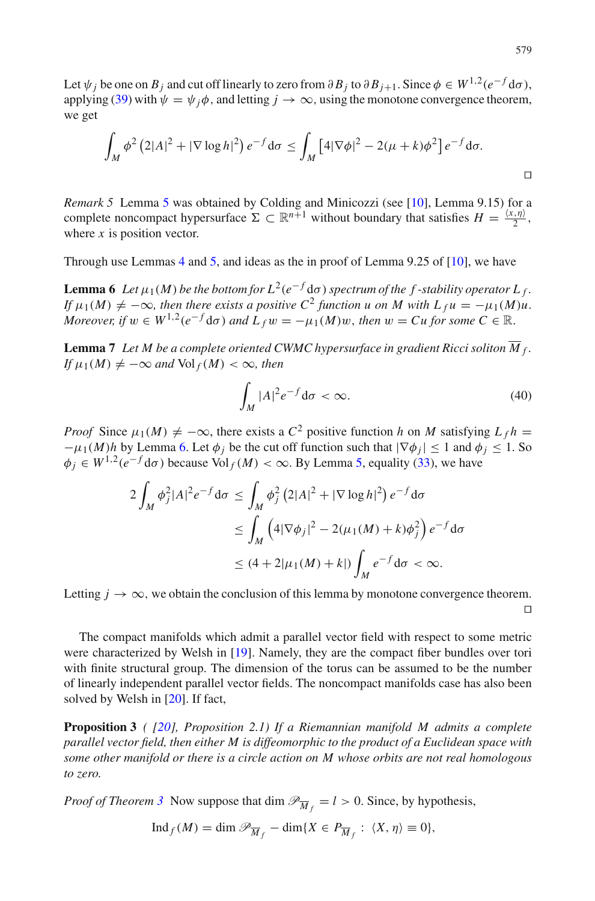Let  $\psi_j$  be one on  $B_j$  and cut off linearly to zero from  $\partial B_j$  to  $\partial B_{j+1}$ . Since  $\phi \in W^{1,2}(e^{-f}d\sigma)$ , applying [\(39\)](#page-17-6) with  $\psi = \psi_i \phi$ , and letting  $j \to \infty$ , using the monotone convergence theorem, we get

$$
\int_M \phi^2 (2|A|^2 + |\nabla \log h|^2) e^{-f} d\sigma \le \int_M [4|\nabla \phi|^2 - 2(\mu + k)\phi^2] e^{-f} d\sigma.
$$

*Remark [5](#page-16-2)* Lemma 5 was obtained by Colding and Minicozzi (see [\[10](#page-20-11)], Lemma 9.15) for a complete noncompact hypersurface  $\Sigma \subset \mathbb{R}^{n+1}$  without boundary that satisfies  $H = \frac{\langle x, \eta \rangle}{2}$ , where *x* is position vector.

<span id="page-18-0"></span>Through use Lemmas [4](#page-16-3) and [5,](#page-16-2) and ideas as the in proof of Lemma 9.25 of [\[10\]](#page-20-11), we have

**Lemma 6** *Let*  $\mu_1(M)$  *be the bottom for*  $L^2(e^{-f}d\sigma)$  *spectrum of the f* -stability *operator*  $L_f$ . *If*  $\mu_1(M) \neq -\infty$ , then there exists a positive  $C^2$  function u on M with  $L_f u = -\mu_1(M)u$ . *Moreover, if*  $w \in W^{1,2}(e^{-f}d\sigma)$  *and*  $L_f w = -\mu_1(M)w$ , *then*  $w = Cu$  *for some*  $C \in \mathbb{R}$ .

<span id="page-18-1"></span>**Lemma 7** Let M be a complete oriented CWMC hypersurface in gradient Ricci soliton  $\overline{M}_f$ .  $If \mu_1(M) \neq -\infty$  and  $Vol_f(M) < \infty$ , then

$$
\int_M |A|^2 e^{-f} \mathrm{d}\sigma < \infty. \tag{40}
$$

*Proof* Since  $\mu_1(M) \neq -\infty$ , there exists a  $C^2$  positive function *h* on *M* satisfying  $L_f h =$  $-\mu_1(M)h$  by Lemma [6.](#page-18-0) Let  $\phi_i$  be the cut off function such that  $|\nabla \phi_i| \leq 1$  and  $\phi_i \leq 1$ . So  $\phi_i \in W^{1,2}(e^{-f} d\sigma)$  because Vol  $_f(M) < \infty$ . By Lemma [5,](#page-16-2) equality [\(33\)](#page-17-3), we have

$$
2\int_M \phi_j^2 |A|^2 e^{-f} d\sigma \le \int_M \phi_j^2 (2|A|^2 + |\nabla \log h|^2) e^{-f} d\sigma
$$
  
\n
$$
\le \int_M \left(4|\nabla \phi_j|^2 - 2(\mu_1(M) + k)\phi_j^2\right) e^{-f} d\sigma
$$
  
\n
$$
\le (4+2|\mu_1(M) + k|) \int_M e^{-f} d\sigma < \infty.
$$

Letting  $j \to \infty$ , we obtain the conclusion of this lemma by monotone convergence theorem.  $\Box$ 

The compact manifolds which admit a parallel vector field with respect to some metric were characterized by Welsh in [\[19\]](#page-20-18). Namely, they are the compact fiber bundles over tori with finite structural group. The dimension of the torus can be assumed to be the number of linearly independent parallel vector fields. The noncompact manifolds case has also been solved by Welsh in [\[20](#page-20-19)]. If fact,

<span id="page-18-2"></span>**Proposition 3** *( [\[20](#page-20-19)], Proposition 2.1) If a Riemannian manifold M admits a complete parallel vector field, then either M is diffeomorphic to the product of a Euclidean space with some other manifold or there is a circle action on M whose orbits are not real homologous to zero.*

*Proof of Theorem [3](#page-4-3)* Now suppose that dim  $\mathcal{P}_{\overline{M}_f} = l > 0$ . Since, by hypothesis,

$$
\operatorname{Ind}_f(M) = \dim \mathcal{P}_{\overline{M}_f} - \dim \{ X \in P_{\overline{M}_f} : \langle X, \eta \rangle \equiv 0 \},
$$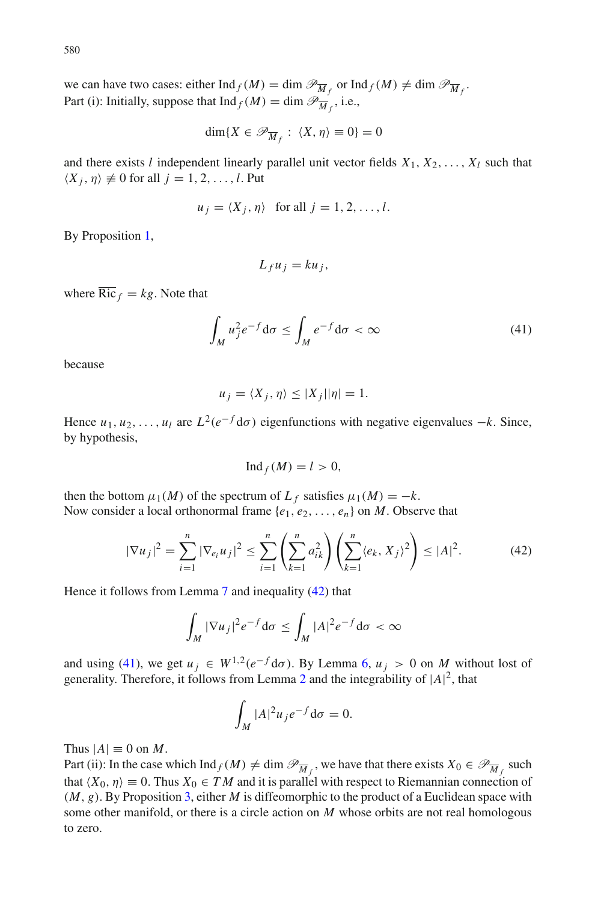we can have two cases: either  $\text{Ind}_f(M) = \dim \mathcal{P}_{\overline{M}_f}$  or  $\text{Ind}_f(M) \neq \dim \mathcal{P}_{\overline{M}_f}$ . Part (i): Initially, suppose that  $\text{Ind}_f(M) = \dim \mathcal{P}_{\overline{M}_f}$ , i.e.,

$$
\dim\{X\in\mathscr{P}_{\overline{M}_f}: \langle X,\eta\rangle\equiv 0\}=0
$$

and there exists *l* independent linearly parallel unit vector fields  $X_1, X_2, \ldots, X_l$  such that  $\langle X_i, \eta \rangle \neq 0$  for all  $j = 1, 2, \ldots, l$ . Put

$$
u_j = \langle X_j, \eta \rangle
$$
 for all  $j = 1, 2, ..., l$ .

By Proposition [1,](#page-8-2)

$$
L_f u_j = k u_j, \quad
$$

where  $\overline{\text{Ric}}_f = kg$ . Note that

<span id="page-19-1"></span>
$$
\int_{M} u_{j}^{2} e^{-f} d\sigma \le \int_{M} e^{-f} d\sigma < \infty
$$
\n(41)

because

$$
u_j = \langle X_j, \eta \rangle \le |X_j| |\eta| = 1.
$$

Hence  $u_1, u_2, \ldots, u_l$  are  $L^2(e^{-f}d\sigma)$  eigenfunctions with negative eigenvalues  $-k$ . Since, by hypothesis,

$$
\mathrm{Ind}_f(M)=l>0,
$$

then the bottom  $\mu_1(M)$  of the spectrum of  $L_f$  satisfies  $\mu_1(M) = -k$ . Now consider a local orthonormal frame  $\{e_1, e_2, \ldots, e_n\}$  on *M*. Observe that

<span id="page-19-0"></span>
$$
|\nabla u_j|^2 = \sum_{i=1}^n |\nabla_{e_i} u_j|^2 \le \sum_{i=1}^n \left(\sum_{k=1}^n a_{ik}^2\right) \left(\sum_{k=1}^n \langle e_k, X_j \rangle^2\right) \le |A|^2. \tag{42}
$$

Hence it follows from Lemma [7](#page-18-1) and inequality [\(42\)](#page-19-0) that

$$
\int_M |\nabla u_j|^2 e^{-f} d\sigma \le \int_M |A|^2 e^{-f} d\sigma < \infty
$$

and using [\(41\)](#page-19-1), we get  $u_j \in W^{1,2}(e^{-f}d\sigma)$ . By Lemma [6,](#page-18-0)  $u_j > 0$  on *M* without lost of generality. Therefore, it follows from Lemma [2](#page-12-1) and the integrability of  $|A|^2$ , that

$$
\int_M |A|^2 u_j e^{-f} d\sigma = 0.
$$

Thus  $|A| \equiv 0$  on *M*.

Part (ii): In the case which  $\text{Ind}_f(M) \neq \dim \mathcal{P}_{\overline{M}_f}$ , we have that there exists  $X_0 \in \mathcal{P}_{\overline{M}_f}$  such that  $\langle X_0, \eta \rangle \equiv 0$ . Thus  $X_0 \in TM$  and it is parallel with respect to Riemannian connection of (*M*, *g*). By Proposition [3,](#page-18-2) either *M* is diffeomorphic to the product of a Euclidean space with some other manifold, or there is a circle action on *M* whose orbits are not real homologous to zero.